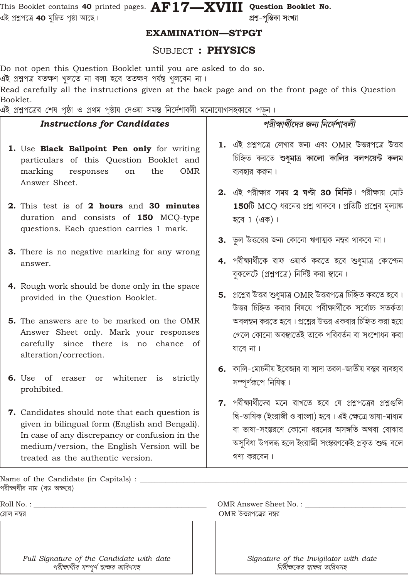This Booklet contains 40 printed pages.  $\mathbf{AF17}\text{---} \mathbf{XVIII}$  Question Booklet No. এই প্ৰশ্নপত্ৰে 40 মুদ্ৰিত পৃষ্ঠা আছে।

প্ৰশ্ন-পুস্তিকা সংখ্যা

### **EXAMINATION-STPGT**

### **SUBJECT: PHYSICS**

Do not open this Question Booklet until you are asked to do so.

এই প্ৰশ্নপত্ৰ যতক্ষণ খুলতে না বলা হবে ততক্ষণ পৰ্যন্ত খুলবেন না।

Read carefully all the instructions given at the back page and on the front page of this Question Booklet.

 $\sim$   $\sim$   $\sim$  $\sim$   $\sim$   $\sim$   $\sim$   $\sim$   $\sim$ 

| ଏ୧ ଅକ୍ଷମଣେ শেষ পৃষ্ঠা ও প্ৰথম পৃষ্ঠায় দেওয়া সমস্ত ।নদেশাবলা মনোযোগসহকারে পড়ন ।                                                                                                                                                       |                                                                                                                                                                                                                                                    |  |  |  |
|-----------------------------------------------------------------------------------------------------------------------------------------------------------------------------------------------------------------------------------------|----------------------------------------------------------------------------------------------------------------------------------------------------------------------------------------------------------------------------------------------------|--|--|--|
| <b>Instructions for Candidates</b>                                                                                                                                                                                                      | পরীক্ষার্থীদের জন্য নির্দেশাবলী                                                                                                                                                                                                                    |  |  |  |
| 1. Use Black Ballpoint Pen only for writing<br>particulars of this Question Booklet and<br><b>OMR</b><br>marking<br>responses<br>the<br>on<br>Answer Sheet.                                                                             | $1.$ এই প্রশ্নপত্রে লেখার জন্য এবং $OMR$ উত্তরপত্রে উত্তর<br>চিহ্নিত করতে শুধুমাত্র কালো কালির বলপয়েন্ট কলম<br>ব্যবহার করুন।<br>2. এই পরীক্ষার সময় 2 ঘল্টা 30 মিনিট। পরীক্ষায় মোট                                                               |  |  |  |
| 2. This test is of 2 hours and 30 minutes<br>duration and consists of 150 MCQ-type<br>questions. Each question carries 1 mark.                                                                                                          | $150$ টি MCQ ধরনের প্রশ্ন থাকবে। প্রতিটি প্রশ্নের মৃল্যাঙ্ক<br>হবে $1(45)$ ।                                                                                                                                                                       |  |  |  |
| 3. There is no negative marking for any wrong<br>answer.                                                                                                                                                                                | <b>3.</b> ভুল উত্তরের জন্য কোনো ঋণাত্মক নম্বর থাকবে না।<br>4. পরীক্ষার্থীকে রাফ ওয়ার্ক করতে হবে শুধুমাত্র কোশ্চেন<br>বুকলেটে (প্রশ্নপত্রে) নির্দিষ্ট করা স্থানে।                                                                                  |  |  |  |
| 4. Rough work should be done only in the space<br>provided in the Question Booklet.                                                                                                                                                     | $5.$ প্রশ্নের উত্তর শুধুমাত্র OMR উত্তরপত্রে চিহ্নিত করতে হবে।<br>উত্তর চিহ্নিত করার বিষয়ে পরীক্ষার্থীকে সর্বোচ্চ সতর্কতা                                                                                                                         |  |  |  |
| <b>5.</b> The answers are to be marked on the OMR<br>Answer Sheet only. Mark your responses<br>carefully since there is no chance of<br>alteration/correction.                                                                          | অবলম্বন করতে হবে। প্রশ্নের উত্তর একবার চিহ্নিত করা হয়ে<br>গেলে কোনো অবস্থাতেই তাকে পরিবর্তন বা সংশোধন করা<br>যাবে না।                                                                                                                             |  |  |  |
| 6. Use of eraser or whitener is strictly<br>prohibited.                                                                                                                                                                                 | 6. কালি-মোচনীয় ইরেজার বা সাদা তরল-জাতীয় বস্তুর ব্যবহার<br>সম্পূর্ণরূপে নিষিদ্ধ।                                                                                                                                                                  |  |  |  |
| 7. Candidates should note that each question is<br>given in bilingual form (English and Bengali).<br>In case of any discrepancy or confusion in the<br>medium/version, the English Version will be<br>treated as the authentic version. | $7.$ পরীক্ষার্থীদের মনে রাখতে হবে যে প্রশ্নপত্রের প্রশ্নগুলি<br>দ্বি-ভাষিক (ইংরাজী ও বাংলা) হবে। এই ক্ষেত্রে ভাষা-মাধ্যম<br>বা ভাষা-সংস্করণে কোনো ধরনের অসঙ্গতি অথবা বোঝার<br>অসুবিধা উপলব্ধ হলে ইংরাজী সংস্করণকেই প্রকৃত শুদ্ধ বলে<br>গণ্য করবেন। |  |  |  |
| Name of the Candidate (in Capitals) : _                                                                                                                                                                                                 |                                                                                                                                                                                                                                                    |  |  |  |
| পরীক্ষার্থীর নাম (বড় অক্ষরে)<br>Roll No. : _<br>রোল নম্বর                                                                                                                                                                              | OMR Answer Sheet No.: _______<br>$OMR$ উত্তরপত্রের নম্বর                                                                                                                                                                                           |  |  |  |

Full Signature of the Candidate with date পরীক্ষার্থীর সম্পূর্ণ স্বাক্ষর তারিখসহ

Signature of the Invigilator with date নিরীক্ষকের স্বাক্ষর তারিখসহ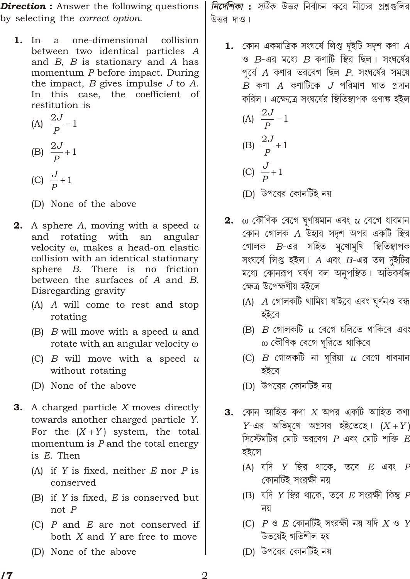*Direction* : Answer the following questions by selecting the *correct option*.

1. In a one-dimensional collision between two identical particles *A* and *B*, *B* is stationary and *A* has momentum *P* before impact. During the impact, *B* gives impulse *J* to *A*. In this case, the coefficient of restitution is

(A) 
$$
\frac{2J}{P}
$$
 1  
\n(B)  $\frac{2J}{P}$  1  
\n(C)  $\frac{J}{P}$  1

(D) None of the above

- 2. A sphere *A*, moving with a speed *u* and rotating with an angular velocity , makes a head-on elastic collision with an identical stationary sphere *B*. There is no friction between the surfaces of *A* and *B*. Disregarding gravity
	- (A) *A* will come to rest and stop rotating
	- (B) *B* will move with a speed *u* and rotate with an angular velocity
	- (C) *B* will move with a speed *u* without rotating
	- (D) None of the above
- 3. A charged particle *X* moves directly towards another charged particle *Y*. For the  $(X \ Y)$  system, the total momentum is *P* and the total energy is *E*. Then
	- (A) if *Y* is fixed, neither *E* nor *P* is conserved
	- (B) if *Y* is fixed, *E* is conserved but not *P*
	- (C) *P* and *E* are not conserved if both *X* and *Y* are free to move
	- (D) None of the above

*নির্দেশিকা : সঠিক উত্তর* নির্বাচন করে নীচের প্রশ্নগুলির উত্তর দাও।

 $1.$  কোন একমাত্রিক সংঘর্ষে লিপ্ত দুইটি সদৃশ কণা  $A$  $\cdot$ ও  $B$ -এর মধ্যে  $B$  কণাটি স্থির ছিল। সংঘর্ষের  $\gamma$ র্বে  $A$  কণার ভরবেগ ছিল  $P$ . সংঘর্ষের সময়ে  $B$  কণা  $A$  কণাটিকে  $J$  পরিমাণ ঘাত প্রদান করিল। এক্ষেত্রে সংঘর্ষের স্থিতিস্থাপক গুণাঙ্ক হইল

\n- (A) 
$$
\frac{2J}{P}
$$
 1
\n- (B)  $\frac{2J}{P}$  1
\n- (C)  $\frac{J}{P}$  1
\n- (D)  $\frac{1}{2}$  1
\n

- $\, {\bf 2.} \quad$  কৌণিক বেগে ঘূর্ণায়মান এবং  $\, u \,$  বেগে ধাবমান  $\epsilon$ কান গোলক  $A$  উহার সদৃশ অপর একটি স্থির <u>গোলক B-এর সহিত মুখোমুখি স্থিতিস্থা</u>পক সংঘৰ্ষে লিপ্ত হইল। A এবং B-এর তল দুইটির মধ্যে কোনরূপ ঘর্ষণ বল অনুপস্থিত। অভিকর্ষজ ক্ষেত্ৰ উপেক্ষণীয় হইলে
	- (A) *A* গোলকটি থামিয়া যাইবে এবং ঘূৰ্ণনও বন্ধ হইবে
	- (B)  $B$  গোলকটি  $u$  বেগে চলিতে থাকিবে এবং কৌণিক বেগে ঘুরিতে থাকিবে
	- $(C)$  *B* গোলকটি না ঘুরিয়া  $u$  বেগে ধাবমান হইবে
	- (D) উপরের কোনর্টিই নয়
- **3.** কোন আহিত কণা  $X$  অপর একটি আহিত কণা  $Y$ -এর অভিমূখে অগ্রসর হইতেছে।  $(X \ Y)$  $\widehat{P}$ স্টেমটির মোট ভরবেগ  $P$  এবং মোট শক্তি  $E$ ইইলে
	- (A) যদি *Y* স্থির থাকে, তবে *E* এবং *F* কোনটিই সংরক্ষী নয়
	- (B) যদি Y স্থির থাকে, তবে *E* সংরক্ষী কিন্তু *F* নয়
	- (C) *P* \* *E* ëA¡à>[iÒü Î}¹Û ã >Ú ™[ƒ *X* \* *Y* উভয়েই গতিশীল হয়
	- (D) উপরের কোনর্টিই নয়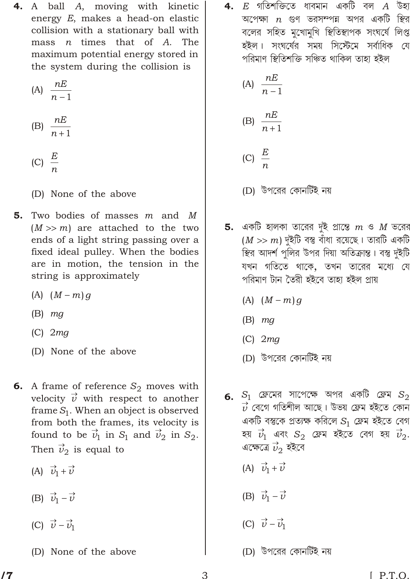4. A ball A, moving with kinetic energy E, makes a head-on elastic collision with a stationary ball with mass  *times that of*  $*A*$ *. The* maximum potential energy stored in the system during the collision is

$$
(A) \frac{nE}{n \quad 1}
$$

$$
(B) \frac{nE}{n \quad 1}
$$

$$
\text{(C)}\ \ \frac{E}{n}
$$

(D) None of the above

- Two bodies of masses  $m$  and  $M$ 5.  $m$ ) are attached to the two  $(M<sup>2</sup>)$ ends of a light string passing over a fixed ideal pulley. When the bodies are in motion, the tension in the string is approximately
	- $(A)$   $(M \n m)q$
	- $(B)$  mg
	- $(C)$  2mg
	- (D) None of the above
- **6.** A frame of reference  $S_2$  moves with velocity  $\vec{v}$  with respect to another frame  $S_1$ . When an object is observed from both the frames, its velocity is found to be  $\vec{v}_1$  in  $S_1$  and  $\vec{v}_2$  in  $S_2$ . Then  $\vec{v}_2$  is equal to
	- (A)  $\vec{v}_1$   $\vec{v}$
	- (B)  $\vec{v}_1$  $\vec{v}$
	- (C)  $\vec{v}$   $\vec{v}_1$
	- (D) None of the above

4.  $\,$  গতিশক্তিতে ধাবমান একটি বল  $A$  উহা অপেক্ষা  $n$  গুণ ভরসম্পন্ন অপর একটি স্থির বলের সহিত মুখোমুখি স্থিতিস্থাপক সংঘর্ষে লিপ্ত হইল। সংঘৰ্ষের সময় সিস্টেমে সর্বাধিক যে পরিমাণ স্থিতিশক্তি সঞ্চিত থাকিল তাহা হইল

(A) 
$$
\frac{nE}{n-1}
$$
  
(B) 
$$
\frac{nE}{n-1}
$$
  
(C) 
$$
\frac{E}{n}
$$

- (D) উপরের কোনর্টিই নয়
- **5.** একটি হালকা তারের দুই প্রান্তে  $m$  ও  $M$  ভরের  $m$ ) দুইটি বস্তু বাঁধা রয়েছে। তারটি একটি  $(M$ স্থির আদর্শ পুলির উপর দিয়া অতিক্রান্ত। বস্তু দুইটি যখন গতিতে থাকে, তখন তারের মধ্যে যে পরিমাণ টান তৈরী হইবে তাহা হইল প্রায়
	- $(A)$   $(M \, m)g$
	- $(B)$  mg
	- $(C)$  2mg
	- (D) উপরের কোনর্টিই নয়
- $\, {\bf 6.} \ \,$   $S_1 \,$  ফ্রেমের সাপেক্ষে অপর একটি ফ্রেম  $S_2$  $\overrightarrow{\nu}$  বেগে গতিশীল আছে। উভয় ফ্রেম হইতে কোন একটি বস্তুকে প্রত্যক্ষ করিলে  $S_1$  ফ্রেম হইতে বেগ হয়  $\vec{v}_1$  এবং  $S_2$  ফ্রেম হইতে বেগ হয়  $\vec{v}_2$ . এক্ষেত্রে  $\vec{v}_2$  হইবে
	- (A)  $\vec{v}_1$   $\vec{v}$
	- (B)  $\vec{v}_1$   $\vec{v}$
	- (C)  $\vec{v}$   $\vec{v}_1$
	- (D) উপরের কোনর্টিই নয়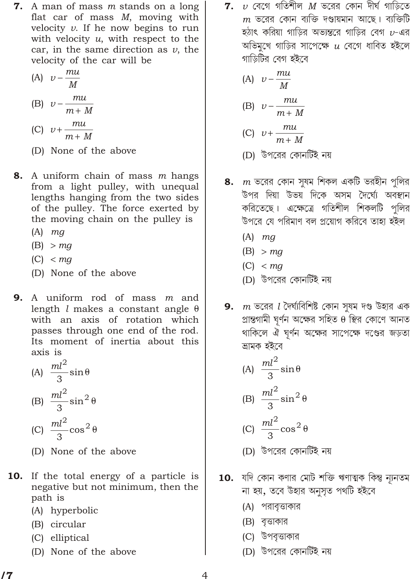**7.** A man of mass m stands on a long flat car of mass  $M$ , moving with velocity  $v$ . If he now begins to run with velocity  $u$ , with respect to the car, in the same direction as  $\nu$ , the velocity of the car will be

(A) 
$$
v = \frac{mu}{M}
$$
  
\n(B)  $v = \frac{mu}{m \cdot M}$ 

$$
[C] \ v \ \frac{m}{m} \frac{1}{M}
$$

- (D) None of the above
- 8. A uniform chain of mass m hangs from a light pulley, with unequal lengths hanging from the two sides of the pulley. The force exerted by the moving chain on the pulley is
	- $(A)$  *mg*
	- $(B)$ mg
	- $(C)$ mq
	- (D) None of the above
- 9. A uniform rod of mass  $m$  and length *l* makes a constant angle with an axis of rotation which passes through one end of the rod. Its moment of inertia about this axis is

(A) 
$$
\frac{ml^2}{3}\sin
$$
  
\n(B) 
$$
\frac{ml^2}{3}\sin^2
$$
  
\n(C) 
$$
\frac{ml^2}{3}\cos^2
$$

- (D) None of the above
- **10.** If the total energy of a particle is negative but not minimum, then the path is
	- (A) hyperbolic
	- (B) circular
	- (C) elliptical
	- (D) None of the above

 $m$  ভরের কোন ব্যক্তি দণ্ডায়মান আছে। ব্যক্তিটি হঠাৎ করিয়া গাড়ির অভ্যন্তরে গাড়ির বেগ  $\nu$ -এর অভিমুখে গাড়ির সাপেক্ষে  $\mu$  বেগে ধাবিত হইলে গাড়িটির বেগ হইবে

(A) 
$$
v = \frac{mu}{M}
$$
  
\n(B)  $v = \frac{mu}{m \cdot M}$   
\n(C)  $v = \frac{mu}{m \cdot M}$ 

- (D) উপরের কোনর্টিই নয়
- 8.  $m$  ভরের কোন সুষম শিকল একটি ভরহীন পুলির উপর দিয়া উভয় দিকে অসম দৈর্ঘ্যে অবস্থান করিতেছে। এক্ষেত্রে গতিশীল শিকলটি পলির উপরে যে পরিমাণ বল প্রয়োগ করিবে তাহা হইল
	- $(A)$  *mg*
	- $(B)$ mg
	- $(C)$ ma
	- (D) উপরের কোনর্টিই নয়
- **9.**  $m$  ভরের  $l$  দৈর্ঘ্যবিশিষ্ট কোন সুষম দণ্ড উহার এক প্রান্তগামী ঘূর্ণন অক্ষের সহিত স্থির কোণে আনত থাকিলে ঐ ঘূর্ণন অক্ষের সাপেক্ষে দণ্ডের জড়তা ভ্ৰামক হইবে

(A) 
$$
\frac{ml^2}{3} \sin
$$
  
\n(B) 
$$
\frac{ml^2}{3} \sin^2
$$
  
\n(C) 
$$
\frac{ml^2}{2} \cos^2
$$

- 3 (D) উপরের কোনর্টিই নয়
- 10. যদি কোন কণার মোট শক্তি ঋণাত্মক কিন্তু ন্যূনতম না হয়, তবে উহার অনুসৃত পথটি হইবে
	- (A) পরাবৃত্তাকার
	- (B) বত্তাকার
	- (C) উপবত্তাকার
	- (D) উপরের কোনর্টিই নয়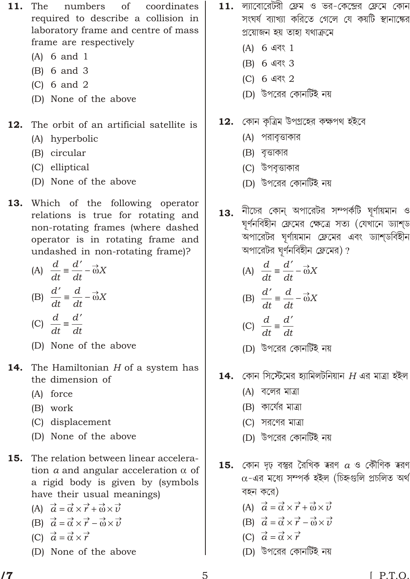- 11. The numbers <sub>of</sub> coordinates required to describe a collision in laboratory frame and centre of mass frame are respectively
	- $(A)$  6 and 1
	- $(B)$  6 and 3
	- $(C)$  6 and 2
	- (D) None of the above
- The orbit of an artificial satellite is 12.
	- (A) hyperbolic
	- (B) circular
	- (C) elliptical
	- (D) None of the above
- 13. Which of the following operator relations is true for rotating and non-rotating frames (where dashed operator is in rotating frame and undashed in non-rotating frame)?
	- (A)  $\frac{d}{dt}$   $\frac{d}{dt}$   $\rightarrow$  X (B)  $\frac{d}{dt}$   $\frac{d}{dt}$   $\rightarrow$  X
	- (C)  $\frac{d}{dt}$   $\frac{d}{dt}$
	- (D) None of the above
- The Hamiltonian  $H$  of a system has 14. the dimension of
	- (A) force
	- (B) work
	- (C) displacement
	- (D) None of the above
- The relation between linear accelera-15. tion  $a$  and angular acceleration of a rigid body is given by (symbols have their usual meanings)
	- (A)  $\vec{a} \rightarrow \vec{r} \rightarrow \vec{v}$ (B)  $\vec{a} \rightarrow \vec{r} \rightarrow \vec{v}$ (C)  $\vec{a} \rightarrow \vec{r}$
	- (D) None of the above
- ল্যাবোরেটরী ফ্রেম ও ভর-কেন্দ্রের ফ্রেমে কোন 11. সংঘর্ষ ব্যাখ্যা করিতে গেলে যে কয়টি স্থানাঙ্কের প্ৰয়োজন হয় তাহা যথাক্ৰমে
	- (A) 6 এবং 1
	- (B) 6 এবং 3
	- (C) 6 এবং 2
	- (D) উপরের কোনর্টিই নয়
- 12. কোন কৃত্রিম উপগ্রহের কক্ষপথ হইবে
	- (A) পরাবৃত্তাকার
	- (B) বত্তাকার
	- (C) উপবত্তাকার
	- (D) উপরের কোনর্টিই নয়
- নীচের কোন্ অপারেটর সম্পর্কটি ঘূর্ণায়মান ও  $13.$ ঘূর্ণনবিহীন ফ্রেমের ক্ষেত্রে সত্য (যেখানে ড্যাশ্ড অপারেটর ঘূর্ণায়মান ফ্রেমের এবং ড্যাশ্ডবিহীন অপারেটর ঘূর্ণনবিহীন ফ্রেমের)?
	- (A)  $\frac{d}{dt}$   $\frac{d}{dt}$   $\rightarrow$  X (B)  $\frac{d}{dt}$   $\frac{d}{dt}$   $\rightarrow$  X
	- (C)  $\frac{d}{dt}$   $\frac{d}{dt}$
	- (D) উপরের কোনর্টিই নয়
- 14. কোন সিস্টেমের হ্যামিলটনিয়ান  $H$  এর মাত্রা হইল
	- (A) বলের মাত্রা
	- (B) কার্যের মাত্রা
	- (C) সরণের মাত্রা
	- (D) উপরের কোনর্টিই নয়
- $\,$  15. কোন দৃঢ় বস্তুর রৈখিক ত্বরণ  $\,a\,$ ও কৌণিক ত্বরণ -এর মধ্যে সম্পর্ক হইল (চিহ্নগুলি প্রচলিত অর্থ বহন করে)
	- (A)  $\vec{a} \rightarrow \vec{r} \rightarrow \vec{v}$ <br>
	(B)  $\vec{a} \rightarrow \vec{r} \rightarrow \vec{v}$
	-
	- (C)  $\vec{a}$  $\rightarrow$   $\rightarrow$
	- (D) উপরের কোনর্টিই নয়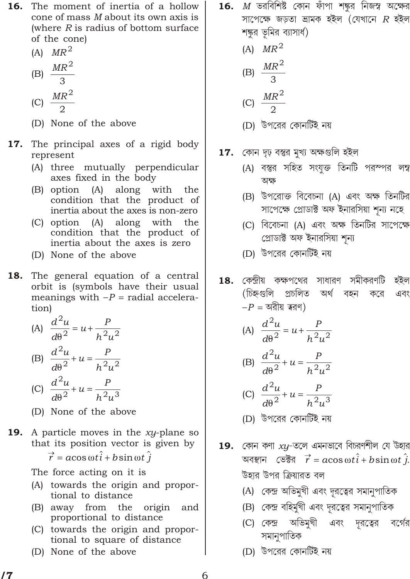- The moment of inertia of a hollow 16. cone of mass M about its own axis is (where  $R$  is radius of bottom surface of the cone)
	- (A)  $MR^2$

$$
(B) \frac{MR^2}{3}
$$

$$
(C) \frac{MR}{2}
$$

- (D) None of the above
- 17. The principal axes of a rigid body represent
	- (A) three mutually perpendicular axes fixed in the body
	- (B) option (A) along with the condition that the product of inertia about the axes is non-zero
	- (C) option (A) along with the condition that the product of inertia about the axes is zero
	- (D) None of the above
- 18. The general equation of a central orbit is (symbols have their usual meanings with  $P$  radial acceleration)

(A) 
$$
\frac{d^2u}{d^2} = u + \frac{p}{h^2u^2}
$$
  
\n(B)  $\frac{d^2u}{d^2} = u + \frac{p}{h^2u^2}$   
\n(C)  $\frac{d^2u}{d^2} = u + \frac{p}{h^2u^3}$ 

- (D) None of the above
- **19.** A particle moves in the xy-plane so that its position vector is given by
	- $\vec{r}$  acos ti bsin t j

The force acting on it is

- (A) towards the origin and proportional to distance
- (B) away from the origin and proportional to distance
- (C) towards the origin and proportional to square of distance
- (D) None of the above

 $\, {\bf 16.} \quad M \,$  ভরবিশিষ্ট কোন ফাঁপা শঙ্কুর নিজস্ব অক্ষের সাপেক্ষে জড়তা ভ্ৰামক হইল (যেখানে  $R$  হইল শঙ্কুর ভূমির ব্যাসার্থ)

$$
(A) \quad MR^2
$$

$$
MR^2
$$

$$
(B) \frac{mn}{3}
$$

$$
(C) \frac{MR^2}{2}
$$

- কোন দৃঢ় বস্তুর মুখ্য অক্ষগুলি হইল 17.
	- (A) বস্তুর সহিত সংযুক্ত তিনটি পরম্পর লম্ব অক্ষ
	- (B) উপরোক্ত বিবেচনা (A) এবং অক্ষ তিনটির সাপেক্ষে প্রোডাক্ট অফ ইনারসিয়া শূন্য নহে
	- (C) বিবেচনা (A) এবং অক্ষ তিনটির সাপেক্ষে প্ৰোডাক্ট অফ ইনারসিয়া শূন্য
	- (D) উপরের কোনর্টিই নয়
- $\bf{18.}$  কেন্দ্রীয় কক্ষপথের সাধারণ সমীকরণটি হইল (চিহ্নগুলি প্ৰচলিত অৰ্থ বহন এবং করে  $\overline{P}$ অরীয় ত্বরণ)

(A) 
$$
\frac{d^2u}{d^2} = u + \frac{p}{h^2u^2}
$$
  
\n(B)  $\frac{d^2u}{d^2} = u + \frac{p}{h^2u^2}$ 

(C) 
$$
\frac{u}{d^2} u \frac{1}{h^2 u^3}
$$

- (D) উপরের কোনর্টিই নয়
- 19. কোন কণা  $xy$ -তলে এমনভাবে বিচরণশীল যে উহার অবস্থান ভেক্টর  $\overrightarrow{r}$  acos  $t\hat{i}$  bsin  $t\,\hat{j}$ . উহার উপর ক্রিয়ারত বল
	- (A) কেন্দ্র অভিমুখী এবং দূরত্বের সমানুপাতিক
	- (B) কেন্দ্র বহির্মুখী এবং দূরত্বের সমানুপাতিক
	- এবং দূরত্বের বর্গের (C) কেন্দ্ৰ অভিমখী সমানুপাতিক
	- (D) উপরের কোনর্টিই নয়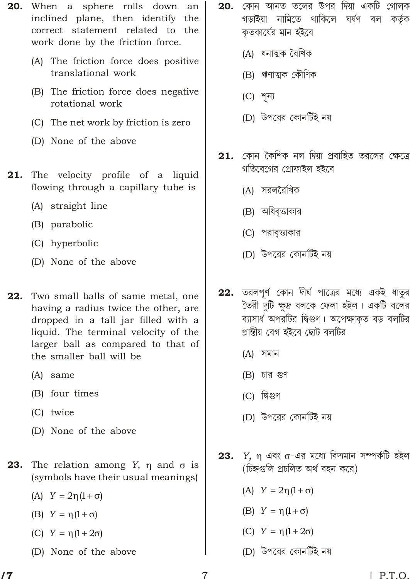- **20.** When a sphere rolls down an inclined plane, then identify the correct statement related to the work done by the friction force.
	- (A) The friction force does positive translational work
	- (B) The friction force does negative rotational work
	- (C) The net work by friction is zero
	- (D) None of the above
- The velocity profile of a liquid 21. flowing through a capillary tube is
	- (A) straight line
	- (B) parabolic
	- (C) hyperbolic
	- (D) None of the above
- 22. Two small balls of same metal, one having a radius twice the other, are dropped in a tall jar filled with a liquid. The terminal velocity of the larger ball as compared to that of the smaller ball will be
	- (A) same
	- (B) four times
	- (C) twice
	- (D) None of the above
- 23. The relation among Y, and is (symbols have their usual meanings)
	- $(A)$   $Y$  2  $(1)$  $\Box$
	- $(B)$  Y  $(1)$  $\mathcal{L}$
	- $(1 \t2)$  $(C) Y$
	- (D) None of the above
- $\,$  20. কোন আনত তলের উপর দিয়া একটি গোলক গড়াইয়া নামিতে থাকিলে ঘৰ্ষণ বল কৰ্তৃক কতকাৰ্যের মান হইবে
	- (A) ধনাত্মক রৈখিক
	- (B) ঋণাত্মক কৌণিক
	- $(C)$  শূন্য
	- (D) উপরের কোনর্টিই নয়
- 21. কোন কৈশিক নল দিয়া প্ৰবাহিত তরলের ক্ষেত্রে গতিবেগের প্রোফাইল হইবে
	- (A) সরলরৈখিক
	- (B) অধিবৃত্তাকার
	- (C) পরাবত্তাকার
	- (D) উপরের কোনর্টিই নয়
- 22. তরলপূর্ণ কোন দীর্ঘ পাত্রের মধ্যে একই ধাতুর তৈরী দুটি ক্ষুদ্র বলকে ফেলা হইল। একটি বলের ব্যাসার্ধ অপরটির দ্বিগুণ। অপেক্ষাকত বড় বলটির প্রান্তীয় বেগ হইবে ছোট বলটির
	- (A) সমান
	- $(B)$  চার গুণ
	- (C) দ্বিগুণ
	- (D) উপরের কোনর্টিই নয়
- $Y$ , এবং -এর মধ্যে বিদ্যমান সম্পর্কটি হইল 23. (চিহ্নগুলি প্রচলিত অর্থ বহন করে)
	- $(A)$  Y  $2(1)$  $\lambda$
	- $(B)$  Y  $(1)$  $\overline{\phantom{a}}$
	- $(C)$  Y  $(1 \t2)$
	- (D) উপরের কোনর্টিই নয়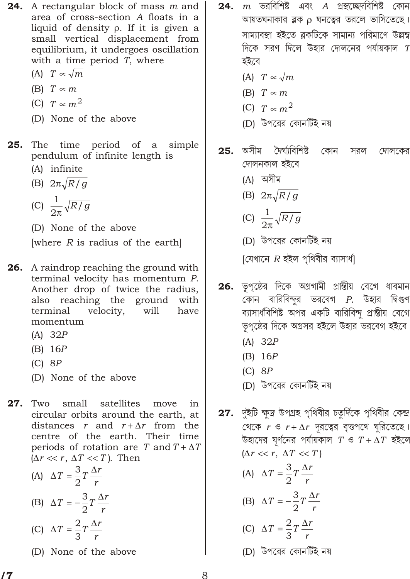**24.** A rectangular block of mass m and area of cross-section A floats in a liquid of density. If it is given a small vertical displacement from equilibrium, it undergoes oscillation with a time period  $T$ , where

- $\sqrt{m}$  $(A)$   $T$
- $(B)$  T  $m$
- (C)  $T \, m^2$
- (D) None of the above
- 25. The time period of a simple pendulum of infinite length is
	- (A) infinite
	- (B) 2  $\sqrt{R/g}$

$$
(C) \ \ \frac{1}{2} \sqrt{R/g}
$$

(D) None of the above

[where  $R$  is radius of the earth]

- **26.** A raindrop reaching the ground with terminal velocity has momentum P. Another drop of twice the radius, also reaching the ground with terminal velocity, will have momentum
	- $(A)$  32 $P$
	- $(B)$  16P
	- $(C)$  8P
	- (D) None of the above

 $27.$ Two small satellites move in circular orbits around the earth, at distances  $r$  and  $r$   $r$  from the centre of the earth. Their time periods of rotation are  $T$  and  $T$  $T$  $(r \, r, \, T \, T)$ . Then

- (A)  $T = \frac{3}{2}T \frac{r}{r}$
- (B)  $T = \frac{3}{2}T \frac{r}{r}$
- (C)  $T \frac{2}{3}T \frac{r}{r}$
- (D) None of the above
- $m$  ভরবিশিষ্ট এবং  $A$  প্রস্থচ্ছেদবিশিষ্ট কোন 24. আয়তঘনাকার ব্লক ঘনত্বের তরলে ভাসিতেছে। সাম্যাবন্থা হইতে ব্লকটিকে সামান্য পরিমাণে উল্লম্ব দিকে সরণ দিলে উহার দোলনের পর্যায়কাল  $\emph{T}$ হইবে
	- (A)  $T \sqrt{m}$
	- $(B)$  T  $\boldsymbol{m}$
	- (C)  $T$   $m^2$
	- (D) উপরের কোনর্টিই নয়
- অসীম দৈৰ্ঘ্যবিশিষ্ট 25. কোন সরল দোলকের দোলনকাল হইবে
	- (A) অসীম
	- (B) 2  $\sqrt{R/g}$
	- (C)  $\frac{1}{2} \sqrt{R/g}$
	- (D) উপরের কোনর্টিই নয়

[যেখানে  $R$  হইল পৃথিবীর ব্যাসার্ধ]

- $26.$  ভূপৃষ্ঠের দিকে অগ্রগামী প্রান্তীয় বেগে ধাবমান কোন বারিবিন্দুর ভরবেগ  $P$ . উহার দ্বিগুণ ব্যাসার্ধবিশিষ্ট অপর একটি বারিবিন্দু প্রান্তীয় বেগে ভূপৃষ্ঠের দিকে অগ্রসর হইলে উহার ভরবেগ হইবে
	- $(A)$  32P
	- $(B)$  16P
	- $(C)$  8P
	- (D) উপরের কোনর্টিই নয়
- 27. দুইটি ক্ষুদ্র উপগ্রহ পৃথিবীর চতুর্দিকে পৃথিবীর কেন্দ্র থেকে  $r \circ r$  r দূরত্বের বৃত্তপথে ঘূরিতেছে। উহাদের ঘূর্ণনের পর্যায়কাল  $T$  ও  $T$   $T$  হইলে
	- $(r \, r, \, T \, T)$ (A)  $T = \frac{3}{2}T - \frac{r}{r}$
	- (B)  $T = \frac{3}{2}T \frac{r}{r}$
	- (C)  $T \frac{2}{3}T \frac{r}{r}$
	- (D) উপরের কোনর্টিই নয়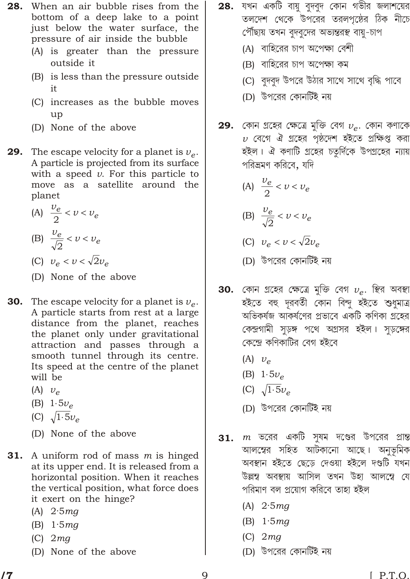- 28. When an air bubble rises from the bottom of a deep lake to a point just below the water surface, the pressure of air inside the bubble
	- (A) is greater than the pressure outside it
	- (B) is less than the pressure outside it
	- (C) increases as the bubble moves up
	- (D) None of the above
- 29. The escape velocity for a planet is  $v_e$ . A particle is projected from its surface with a speed  $v$ . For this particle to move as a satellite around the planet
	- (A)  $\frac{v_e}{2}$  v  $v_e$ (B)  $\frac{v_e}{\sqrt{2}}$  v  $v_e$
	- (C)  $v_e$  v  $\sqrt{2}v_e$
	- (D) None of the above
- 30. The escape velocity for a planet is  $v_e$ . A particle starts from rest at a large distance from the planet, reaches the planet only under gravitational attraction and passes through a smooth tunnel through its centre. Its speed at the centre of the planet will be
	- $(A)$   $v_e$
	- (B)  $15v_e$
	- (C)  $\sqrt{1.5}v_e$
	- (D) None of the above
- 31. A uniform rod of mass  $m$  is hinged at its upper end. It is released from a horizontal position. When it reaches the vertical position, what force does it exert on the hinge?
	- (A)  $2.5mg$
	- (B)  $1.5mg$
	- $(C)$  2 mg
	- (D) None of the above
- যখন একটি বায়ু বুদবুদ কোন গভীর জলাশয়ের 28. তলদেশ থেকে উপরের তরলপৃষ্ঠের ঠিক নীচে পৌঁছায় তখন বুদবুদের অভ্যন্তরন্থ বায়ু-চাপ
	- (A) বাহিরের চাপ অপেক্ষা বেশী
	- (B) বাহিরের চাপ অপেক্ষা কম
	- (C) বুদবুদ উপরে উঠার সাথে সাথে বৃদ্ধি পাবে
	- (D) উপরের কোনর্টিই নয়
- $\,$  29. কোন গ্রহের ক্ষেত্রে মুক্তি বেগ  $\,v_e^{}\!$ . কোন কণাকে  $\nu$  বেগে ঐ গ্রহের পৃষ্ঠদেশ হইতে প্রক্ষিপ্ত করা হইল। ঐ কণাটি গ্রহের চতুর্দিকে উপগ্রহের ন্যায় পরিভ্রমণ করিবে, যদি

$$
(A) \frac{v_e}{2} \quad v \quad v_e
$$

(B) 
$$
\frac{v_e}{\sqrt{2}}
$$
  $v$   $v_e$ 

- (C)  $v_e$  v  $\sqrt{2}v_e$
- (D) উপরের কোনর্টিই নয়
- **30.** কোন গ্রহের ক্ষেত্রে মুক্তি বেগ  $v_e$ . স্থির অবস্থা হইতে বহু দূরবতী কোন বিন্দু হইতে শুধুমাত্র অভিকর্ষজ আকর্ষণের প্রভাবে একটি কণিকা গ্রহের কেন্দ্রগামী সুড়ঙ্গ পথে অগ্রসর হইল। সুড়ঙ্গের কেন্দ্রে কণিকাটির বেগ হইবে
	- $(A)$   $v_e$
	- (B) 1  $5v_e$
	- (C)  $\sqrt{1.5}v_e$
	- (D) উপরের কোনর্টিই নয়
- $m$  ভরের একটি সুষম দণ্ডের উপরের প্রান্ত 31. আলম্বের সহিত আটকানো আছে। অনুভূমিক অবস্থান হইতে ছেড়ে দেওয়া হইলে দণ্ডটি যখন উল্লম্ব অবস্থায় আসিল তখন উহা আলম্বে যে পরিমাণ বল প্রয়োগ করিবে তাহা হইল
	- (A)  $2.5mg$
	- (B)  $1.5mg$
	- $(C)$  2 mg
	- (D) উপরের কোনর্টিই নয়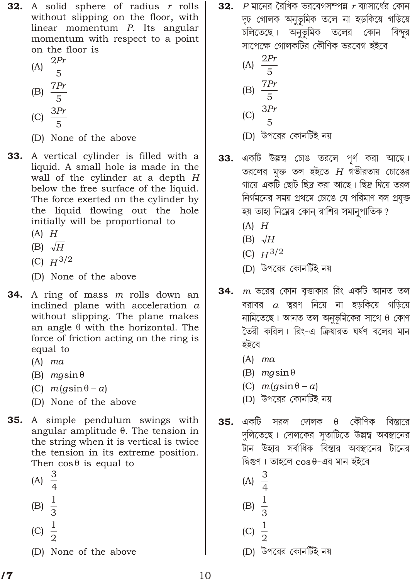**32.** A solid sphere of radius r rolls without slipping on the floor, with linear momentum *P*. Its angular momentum with respect to a point on the floor is

$$
(A) \frac{2Pr}{5}
$$

$$
(B) \frac{7Pr}{5}
$$

- (C)  $\frac{3Pr}{5}$
- (D) None of the above
- **33.** A vertical cylinder is filled with a liquid. A small hole is made in the wall of the cylinder at a depth H below the free surface of the liquid. The force exerted on the cylinder by the liquid flowing out the hole initially will be proportional to
	- $(A)$   $H$
	- (B)  $\sqrt{H}$
	- (C)  $H^{3/2}$
	- (D) None of the above
- **34.** A ring of mass m rolls down an inclined plane with acceleration  $a$ without slipping. The plane makes an angle with the horizontal. The force of friction acting on the ring is equal to
	- $(A)$  ma
	- $(B)$  *mgsin*
	- (C)  $m(g\sin$ a)
	- (D) None of the above
- **35.** A simple pendulum swings with angular amplitude. The tension in the string when it is vertical is twice the tension in its extreme position. Then cos is equal to
	- (A)  $\frac{3}{4}$ (B)  $\frac{1}{3}$ (C)  $\frac{1}{2}$
	- (D) None of the above

 $\,$  P মানের রৈখিক ভরবেগসম্পন্ন  $\,$  ব্যাসার্ধের কোন 32. দৃঢ় গোলক অনুভূমিক তলে না হড়কিয়ে গড়িয়ে চলিতেছে। অনুভূমিক তলের কোন বিন্দুর সাপেক্ষে গোলকটির কৌণিক ভরবেগ হইবে

(A) 
$$
\frac{2Pr}{5}
$$
  
\n(B) 
$$
\frac{7Pr}{5}
$$
  
\n(C) 
$$
\frac{3Pr}{5}
$$

- (D) উপরের কোনর্টিই নয়
- একটি উল্লম্ব চোঙ তরলে পূর্ণ করা আছে। 33. তরলের মুক্ত তল হইতে  $H$  গভীরতায় চোঙের গায়ে একটি ছোট ছিদ্র করা আছে। ছিদ্র দিয়ে তরল নির্গমনের সময় প্রথমে চোঙে যে পরিমাণ বল প্রযুক্ত হয় তাহা নিম্নের কোন্ রাশির সমানুপাতিক ?
	- $(A)$   $H$
	- (B)  $\sqrt{H}$
	- (C)  $H^{3/2}$
	- (D) উপরের কোনর্টিই নয়
- $m$  ভরের কোন বৃত্তাকার রিং একটি আনত তল 34. বরাবর  $a$  ত্বরণ নিয়ে না হড়কিয়ে গড়িয়ে নামিতেছে। আনত তল অনুভূমিকের সাথে কোণ তৈরী করিল। রিং-এ ক্রিয়ারত ঘর্ষণ বলের মান হইবে
	- $(A)$  ma
	- $(B)$  *mgsin*
	- (C)  $m(g\sin$  $\alpha$
	- (D) উপরের কোনর্টিই নয়
- বিস্তারে একটি কৌণিক 35. সরল দোলক দুলিতেছে। দোলকের সুতাটিতে উল্লম্ব অবস্থানের টান উহার সর্বাধিক বিস্তার অবস্থানের টানের দ্বিগুণ। তাহলে cos -এর মান হইবে
	- (A)  $\frac{3}{4}$
	- (B)  $\frac{1}{3}$ 
		-
	- (C)  $\frac{1}{2}$
	- (D) উপরের কোনটিই নয়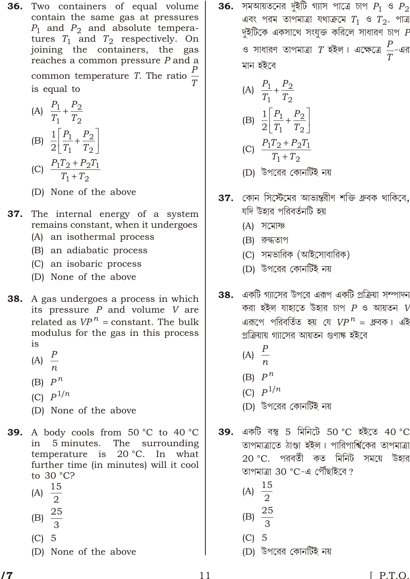36. Two containers of equal volume contain the same gas at pressures  $P_1$  and  $P_2$  and absolute temperatures  $T_1$  and  $T_2$  respectively. On joining the containers, the gas reaches a common pressure P and a common temperature *T*. The ratio  $\frac{P}{T}$ is equal to

(A) 
$$
\frac{P_1}{T_1} \frac{P_2}{T_2}
$$

- (B)  $\frac{1}{2} \frac{P_1}{T_1} \frac{P_2}{T_2}$ (C)  $\frac{P_1 T_2 \quad P_2 T_1}{T_1 \quad T_2}$
- (D) None of the above
- 37. The internal energy of a system remains constant, when it undergoes
	- (A) an isothermal process
	- (B) an adiabatic process
	- (C) an isobaric process
	- (D) None of the above
- **38.** A gas undergoes a process in which its pressure  $P$  and volume  $V$  are related as  $VP^n$  constant. The bulk modulus for the gas in this process is
	- (A)  $\frac{P}{n}$
	- (B)  $P^n$
	- (C)  $P^{1/n}$
	-
	- (D) None of the above
- **39.** A body cools from  $50^{\circ}$ C to  $40^{\circ}$ C in 5 minutes. The surrounding  $20 °C$ . In temperature is what further time (in minutes) will it cool to 30 °C?
	- (A)  $\frac{15}{2}$
	-
	- (B)  $\frac{25}{3}$
	- $(C)$  5
	- (D) None of the above

 $\,$  36. সমআয়তনের দুইটি গ্যাস পাত্রে চাপ  $P_1$  ও  $P_2$ এবং পরম তাপমাত্রা যথাক্রমে  $T_1$  ও  $T_2$ . পাত্র দুইটিকে একসাথে সংযুক্ত করিলে সাধারণ চাপ  $\emph{F}$ ও সাধারণ তাপমাত্রা  $T$  হইল। এক্ষেত্রে  $\frac{P}{T}$ -এর মান হইবে

(A) 
$$
\frac{P_1}{T_1} \frac{P_2}{T_2}
$$
  
\n(B)  $\frac{1}{2} \frac{P_1}{T_1} \frac{P_2}{T_2}$   
\n(C)  $\frac{P_1 T_2}{T_1} \frac{P_2 T_1}{T_2}$ 

- (D) উপরের কোনটিই নয়
- **37.** কোন সিস্টেমের আভ্যন্তরীণ শক্তি ধ্রুবক থাকিবে, যদি উহার পরিবর্তনটি হয়
	- $(A)$  সমোষঃ
	- (B) রুদ্ধতাপ
	- (C) সমভারিক (আইসোবারিক)
	- (D) উপরের কোনর্টিই নয়
- **38.** একটি গ্যাসের উপরে এরূপ একটি প্রক্রিয়া সম্পাদন করা হইল যাহাতে উহার চাপ  $P$  ও আয়তন  $V$ এরূপে পরিবর্তিত হয় যে  $VP^n$  গ্রুবক। এই প্রক্রিয়ায় গ্যাসের আয়তন গুণাঙ্ক হইবে
	- (A)  $\frac{P}{r}$ 
		-
	- (B)  $P^n$
	- (C)  $P^{1/n}$
	- (D) উপরের কোনর্টিই নয়
- একটি বস্তু 5 মিনিটে 50 °C হইতে 40 °C 39. তাপমাত্রাতে ঠাণ্ডা হইল। পারিপার্শ্বিকের তাপমাত্রা 20 °C. পরবর্তী কত মিনিট সময়ে উহার তাপমাত্রা 30 °C-এ পৌঁছাইবে ?
	- (A)  $\frac{15}{2}$
	- (B)  $\frac{25}{3}$
	-
	- $(C)$  5
	- (D) উপরের কোনর্টিই নয়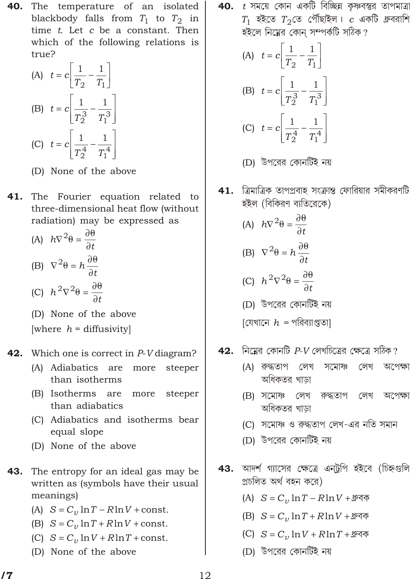- The temperature of an isolated 40. blackbody falls from  $T_1$  to  $T_2$  in time t. Let c be a constant. Then which of the following relations is true?
	- (A) t c  $\frac{1}{T_2}$   $\frac{1}{T_1}$ (B) t c  $\frac{1}{T_2^3}$   $\frac{1}{T_1^3}$ (C) t c  $\frac{1}{T_2^4}$   $\frac{1}{T_1^4}$
	- (D) None of the above
- 41. The Fourier equation related to three-dimensional heat flow (without radiation) may be expressed as
	- (A)  $h^2$   $\frac{1}{t}$ (B)  $^{2}$   $h_{-}$
	- (C)  $h^2$   $^2$   $^-$

(D) None of the above [where  $h =$  diffusivity]

#### 42. Which one is correct in P-V diagram?

- (A) Adiabatics are more steeper than isotherms
- (B) Isotherms are more steeper than adiabatics
- (C) Adiabatics and isotherms bear equal slope
- (D) None of the above
- 43. The entropy for an ideal gas may be written as (symbols have their usual meanings)
	- (A) S  $C_v \ln T$  RlnV const.
	- (B) S  $C_v \ln T$  RlnV const.
	- (C) S  $C_v \ln V$  RlnT const.
	- (D) None of the above

**40.**  $t$  সময়ে কোন একটি বিচ্ছিন্ন কৃষ্ণবস্তুর তাপমাত্র  $T_1$  হইতে  $T_2$ তে পৌঁছাইল।  $c$  একটি ধ্রুবরাশি হইলে নিম্নের কোন সম্পর্কটি সঠিক?

(A) 
$$
t
$$
  $c$   $\frac{1}{T_2}$   $\frac{1}{T_1}$   
\n(B)  $t$   $c$   $\frac{1}{T_2^3}$   $\frac{1}{T_1^3}$   
\n(C)  $t$   $c$   $\frac{1}{T_2^4}$   $\frac{1}{T_1^4}$ 

- (D) উপরের কোনর্টিই নয়
- **41. ত্রিমাত্রিক তাপপ্রবাহ সংক্রান্ত ফোরিয়ার সমীকরণটি** হইল (বিকিরণ ব্যতিরেকে)
	- (A)  $h^{2}$   $\frac{1}{t}$ (B)  $^{2}$   $h_{\frac{1}{4}}$

$$
(C) \; h^2 \quad 2 \quad -t
$$

(D) উপরের কোনটিই নয়

 $[$ যেখানে  $h$  = পরিব্যাপ্ততা]

- নিয়ের কোনটি  $P-V$  লেখচিত্রের ক্ষেত্রে সঠিক? 42.
	- (A) রুদ্ধতাপ লেখ সমোষঃ লেখ অপেক্ষা অধিকতর খাড়া
	- (B) সমোষ্ণ লেখ রুদ্ধতাপ লেখ অপেক্ষা অধিকতর খাড়া
	- (C) সমোষ্ণ ও রুদ্ধতাপ লেখ-এর নতি সমান
	- (D) উপরের কোনর্টিই নয়
- 43. আদর্শ গ্যাসের ক্ষেত্রে এনট্রপি হইবে (চিহ্নগুলি প্ৰচলিত অৰ্থ বহন করে)
	- (A) S  $C_v \ln T$   $R \ln V$  ধ্রুবক
	- (B)  $S$   $C$ ,  $\ln T$   $R \ln V$  ধ্রুবক
	- (C)  $S$   $C_v$   $\ln V$   $R \ln T$  ধ্রুবক
	- (D) উপরের কোনর্টিই নয়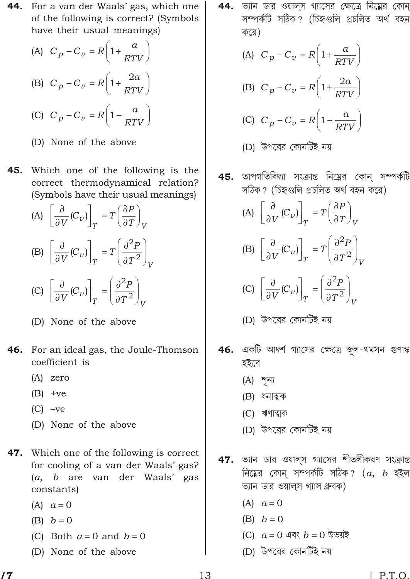- **44.** For a van der Waals' gas, which one of the following is correct? (Symbols have their usual meanings)
	- (A)  $C_p$   $C_v$   $R$  1  $\frac{a}{RTV}$ (B)  $C_p$   $C_v$   $R$  1  $\frac{2a}{RTV}$ (C)  $C_p$   $C_v$   $R$  1  $\frac{a}{RTV}$
	- (D) None of the above
- Which one of the following is the 45. correct thermodynamical relation? (Symbols have their usual meanings)

(A)  $\frac{1}{V}(C_v)$   $T \frac{P}{T}$ (B)  $\frac{1}{V}(C_v)$   $T \frac{2p}{T^2}$ (C)  $\frac{P}{V}(C_v)$   $\frac{2p}{T^2}$ 

- (D) None of the above
- 46. For an ideal gas, the Joule-Thomson coefficient is
	- $(A)$  zero
	- $(B)$  +ve
	- $(C)$  -ve
	- (D) None of the above
- 47. Which one of the following is correct for cooling of a van der Waals' gas? (a, b are van der Waals' gas constants)
	- $(A)$  a 0
	- $(B)$  b 0
	- (C) Both  $a \neq 0$  and  $b \neq 0$
	- (D) None of the above

**44.** ভ্যান ডার ওয়াল্স গ্যাসের ক্ষেত্রে নিম্নের কোন সম্পৰ্কটি সঠিক? (চিহ্নগুলি প্ৰচলিত অৰ্থ বহন করে)

(A) 
$$
C_p
$$
  $C_v$   $R$  1  $\frac{a}{RTV}$   
\n(B)  $C_p$   $C_v$   $R$  1  $\frac{2a}{RTV}$   
\n(C)  $C_p$   $C_v$   $R$  1  $\frac{a}{RTV}$ 

- (D) উপরের কোনর্টিই নয়
- তাপগতিবিদ্যা সংক্রান্ত নিম্নের কোন্ সম্পর্কটি 45. সঠিক? (চিহ্নগুলি প্ৰচলিত অৰ্থ বহন করে)

(A) 
$$
\frac{1}{V}(C_v)
$$
  $T$   $\frac{P}{T}$   
\n(B)  $\frac{1}{V}(C_v)$   $T$   $\frac{2P}{T^2}$ 

$$
\text{(C)} \quad -\frac{1}{V} \text{(C)} \, \frac{P}{T} \, \frac{P}{T^2} \, \frac{P}{V}
$$

- 46. একটি আদর্শ গ্যাসের ক্ষেত্রে জুল-থমসন গুণাঙ্ক হইবে
	- $(A)$  শূন্য
	- (B) ধনাত্মক
	- (C) ঋণাত্মক
	- (D) উপরের কোনর্টিই নয়
- ভ্যান ডার ওয়ালস গ্যাসের শীতলীকরণ সংক্রান্ত 47. নিম্নের কোন্ সম্পর্কটি সঠিক?  $(a, b)$  হইল ভ্যান ডার ওয়ালস গ্যাস ধ্রুবক)
	- $(A)$  a 0
	- $(B)$  b  $\overline{0}$
	- (C)  $a \neq 0$  এবং  $b \neq 0$  উভয়ই
	- (D) উপরের কোনর্টিই নয়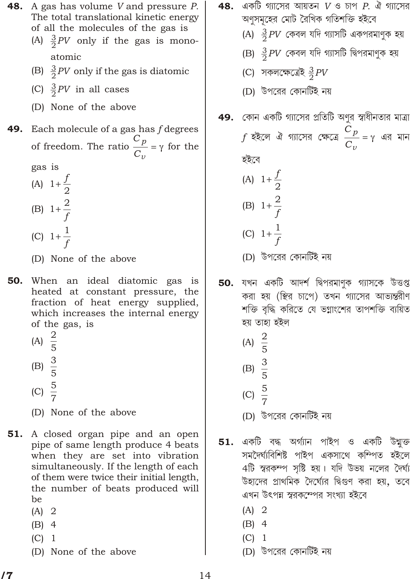**48.** A gas has volume *V* and pressure *P*. The total translational kinetic energy of all the molecules of the gas is (A)  $\frac{3}{2}$ PV only if the gas is mono-

- atomic
- (B)  $\frac{3}{2}$ PV only if the gas is diatomic
- (C)  $\frac{3}{2}$ PV in all cases
- (D) None of the above

# **49.** Each molecule of a gas has  $f$  degrees of freedom. The ratio  $\frac{C_p}{C_p}$

gas is

- (A) 1  $\frac{f}{2}$ (B) 1  $\frac{2}{f}$ (C) 1  $\frac{1}{f}$
- (D) None of the above
- 50. When an ideal diatomic gas is heated at constant pressure, the fraction of heat energy supplied, which increases the internal energy of the gas, is
	- (A)  $\frac{2}{5}$ (B)  $\frac{3}{5}$ (C)  $\frac{5}{7}$
	- (D) None of the above
- **51.** A closed organ pipe and an open pipe of same length produce 4 beats when they are set into vibration simultaneously. If the length of each of them were twice their initial length, the number of beats produced will be
	- $(A)$  2
	- $(B)$  4
	- $(C)$  1
	- (D) None of the above
- একটি গ্যাসের আয়তন  $V$  ও চাপ  $P$ . ঐ গ্যাসের 48. অণুসমূহের মোট রৈখিক গতিশক্তি হইবে
	- (A)  $\frac{3}{2}$ PV কেবল যদি গ্যাসটি একপরমাণুক হয়
	- (B)  $\frac{3}{2}$ PV কেবল যদি গ্যাসটি দ্বিপরমাণুক হয়
	- (C) সকলক্ষেত্ৰেই  $\frac{3}{2}PV$
	- (D) উপরের কোনর্টিই নয়
- 49. কোন একটি গ্যাসের প্রতিটি অণুর স্বাধীনতার মাত্রা  $f$  হইলে ঐ গ্যাসের ক্ষেত্রে  $\frac{C_p}{C_p}$  এর মান

হইবে

for the

(A) 1  $\frac{f}{2}$ (B) 1  $\frac{2}{f}$ (C) 1  $\frac{1}{f}$ 

- (D) উপরের কোনর্টিই নয়
- যখন একটি আদর্শ দ্বিপরমাণুক গ্যাসকে উত্তপ্ত 50. করা হয় (স্থির চাপে) তখন গ্যাসের আভ্যন্তরীণ শক্তি বৃদ্ধি করিতে যে ভগ্নাংশের তাপশক্তি ব্যয়িত হয় তাহা হইল
	- (A)  $\frac{2}{5}$
	- (B)  $\frac{3}{5}$
	-
	- (C)  $\frac{5}{7}$
	- (D) উপরের কোনর্টিই নয়
- একটি বদ্ধ অৰ্গ্যান পাইপ ও একটি উন্মুক্ত 51. সমদৈৰ্ঘ্যবিশিষ্ট পাইপ একসাথে কম্পিত হইলে 4টি স্বরকম্প সৃষ্টি হয়। যদি উভয় নলের দৈর্ঘ্য উহাদের প্রাথমিক দৈর্ঘ্যের দ্বিগুণ করা হয়, তবে এখন উৎপন্ন স্বরকম্পের সংখ্যা হইবে
	- $(A)$  2
	- $(B)$  4
	- $(C)$  1
	- (D) উপরের কোনর্টিই নয়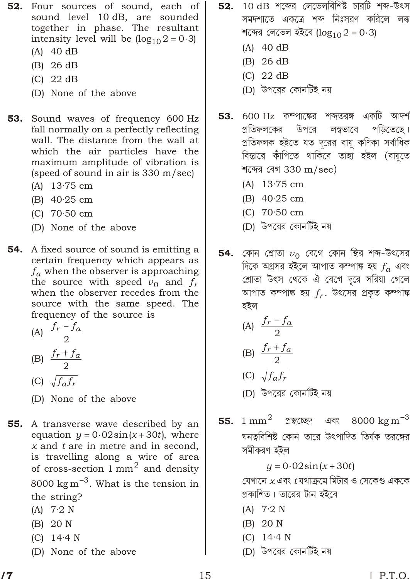- 52. Four sources of sound, each of sound level 10 dB, are sounded together in phase. The resultant intensity level will be  $(\log_{10} 2 \ 0 \ 3)$ 
	- (A) 40 dB
	- (B) 26 dB
	- (C) 22 dB
	- (D) None of the above
- 53. Sound waves of frequency 600 Hz fall normally on a perfectly reflecting wall. The distance from the wall at which the air particles have the maximum amplitude of vibration is (speed of sound in air is 330 m/sec)
	- (A) 13·75 cm
	- (B) 40·25 cm
	- (C) 70·50 cm
	- (D) None of the above
- **54.** A fixed source of sound is emitting a certain frequency which appears as  $f_a$  when the observer is approaching the source with speed  $v_0$  and  $f_r$ when the observer recedes from the source with the same speed. The frequency of the source is

(A) 
$$
\frac{f_r \quad f_a}{2}
$$
  
(B) 
$$
\frac{f_r \quad f_a}{2}
$$

$$
(C) \sqrt{f_a f_r}
$$

- (D) None of the above
- **55.** A transverse wave described by an equation *y* 0 02sin(*x* 30*t*), where *x* and *t* are in metre and in second, is travelling along a wire of area of cross-section  $1 \text{ mm}^2$  and density 8000  $\mathrm{kg\,m}^{-3}$ . What is the tension in the string?
	- $(A)$  7.2 N
	- (B) 20 N
	- (C) 14·4 N
	- (D) None of the above
- $\,$  52.  $\,$  10 dB শব্দের লেভেলবিশিষ্ট চারটি শব্দ-উৎস সমদশাতে একত্রে শব্দ নিঃসরণ করিলে লব্ধ শব্দের লেভেল হইবে ( $\log_{10} 2$  0 3)
	- (A) 40 dB
	- (B) 26 dB
	- (C) 22 dB
	- (D) উপরের কোনর্টিই নয়
- $53.$   $600 \text{ Hz}$  কম্পাক্ষের শব্দতরঙ্গ একটি আদর্শ <u>প্রতিফলকের উপরে লম্বভাবে পডিতেছে।</u> গ্রতিফলক হইতে যত দূরের বায়ু কণিকা সর্বাধিক বিস্তারে কাঁপিতে থাকিবে তাহা হইল (বায়তে শব্দের বেগ  $330 \text{ m/sec}$ )
	- (A) 13·75 cm
	- (B) 40·25 cm
	- (C) 70·50 cm
	- (D) উপরের কোনর্টিই নয়
- $\bf 54.$  কোন শ্রোতা  $v_0$  বেগে কোন স্থির শব্দ-উৎসের  $\widehat{\mathbb{F}}$ কে অগ্রসর হইলে আপাত কম্পাঙ্ক হয়  $f_a$  এবং শ্রোতা উৎস থেকে ঐ বেগে দূরে সরিয়া গেলে আপাত কম্পাঙ্ক হয়  $f_r.$  উৎসের প্রকৃত কম্পাঙ্ক হইল

(A) 
$$
\frac{f_r \quad f_a}{2}
$$
  
(B) 
$$
\frac{f_r \quad f_a}{2}
$$

$$
(C) \sqrt{f_a f_r}
$$

- (D) উপরের কোনটিই নয়
- 55. 1 mm<sup>2</sup> প্র<del>স্</del>থচেছদ এবং 8000 kg m $^{\rm 3}$ ঘনত্ববিশিষ্ট কোন তারে উৎপাদিত তির্যক তরঙ্গের সমীকরণ হইল
	- *y* 0 02sin(*x* 30*t*)

াবেখানে *x* এবং *t* যথাক্ৰমে মিটার ও সেকেণ্ড এককে গ্রকাশিত। তারের টান হইবে

- $(A)$  7.2 N
- (B) 20 N
- (C) 14·4 N
- (D) উপরের কোনর্টিই নয়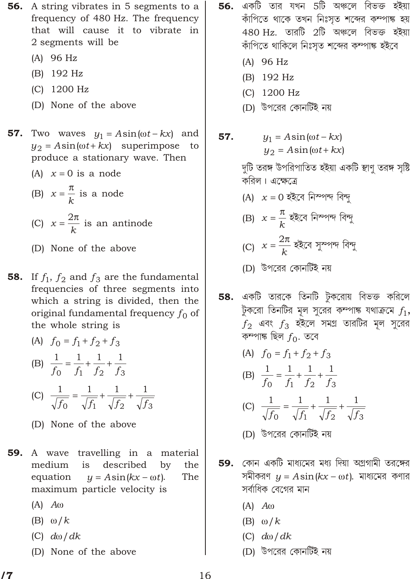- **56.** A string vibrates in 5 segments to a frequency of 480 Hz. The frequency that will cause it to vibrate in 2 segments will be
	- $(A)$  96 Hz
	- (B) 192 Hz
	- $(C)$  1200 Hz
	- (D) None of the above
- 57. Two waves  $y_1$  Asin( t kx) and  $y_2$  Asin( t kx) superimpose to produce a stationary wave. Then
	- (A)  $x \neq 0$  is a node
	- (B)  $x \frac{-}{k}$  is a node
	- (C)  $x \frac{2}{k}$  is an antinode
	- (D) None of the above
- **58.** If  $f_1$ ,  $f_2$  and  $f_3$  are the fundamental frequencies of three segments into which a string is divided, then the original fundamental frequency  $f_0$  of the whole string is

(A) 
$$
f_0
$$
  $f_1$   $f_2$   $f_3$   
\n(B)  $\frac{1}{f_0}$   $\frac{1}{f_1}$   $\frac{1}{f_2}$   $\frac{1}{f_3}$   
\n(C)  $\frac{1}{\sqrt{f_0}}$   $\frac{1}{\sqrt{f_1}}$   $\frac{1}{\sqrt{f_2}}$   $\frac{1}{\sqrt{f_3}}$ 

- (D) None of the above
- 59. A wave travelling in a material medium is described by the equation y  $A\sin(kx)$  $t$ ). The maximum particle velocity is
	- $(A)$   $A$
	- $(B)$  /k
	- $(C)$  d / dk
	- (D) None of the above
- **56.** একটি তার যখন 5টি অঞ্চলে বিভক্ত হইয়া কাঁপিতে থাকে তখন নিঃসৃত শব্দের কম্পাঙ্ক হয়  $480$  Hz. তারটি  $2$ টি অঞ্চলে বিভক্ত হইয়া কাঁপিতে থাকিলে নিঃসৃত শব্দের কম্পাঙ্ক হইবে
	- $(A)$  96 Hz
	- (B) 192 Hz
	- (C) 1200 Hz
	- (D) উপরের কোনটিই নয়
- 57.  $y_1$  Asin( t kx)  $y_2$  Asin( t kx)

দুটি তরঙ্গ উপরিপাতিত হইয়া একটি স্থাণ তরঙ্গ সৃষ্টি করিল। এক্ষেত্রে

- (A)  $x$  0 হইবে নিম্পন্দ বিন্দু
- (B)  $x = \frac{1}{k}$  হইবে নিম্পন্দ বিন্দু
- (C)  $x = \frac{2}{k}$  হইবে সুম্পন্দ বিন্দু
- (D) উপরের কোনর্টিই নয়
- **58.** একটি তারকে তিনটি টুকরোয় বিভক্ত করিলে টুকরো তিনটির মূল সুরের কম্পাঙ্ক যথাক্রমে  $f_1$ ,  $f_2$  এবং  $f_3$  হইলে সমগ্র তারটির মূল সুরের কম্পাঙ্ক ছিল  $f_0$ . তবে

(A) 
$$
f_0
$$
  $f_1$   $f_2$   $f_3$   
\n(B)  $\frac{1}{f_0}$   $\frac{1}{f_1}$   $\frac{1}{f_2}$   $\frac{1}{f_3}$ 

(C) 
$$
\frac{1}{\sqrt{f_0}}
$$
  $\frac{1}{\sqrt{f_1}}$   $\frac{1}{\sqrt{f_2}}$   $\frac{1}{\sqrt{f_3}}$ 

 $\mathbf{1}$ 

- (D) উপরের কোনর্টিই নয়
- 59. কোন একটি মাধ্যমের মধ্য দিয়া অগ্রগামী তরঙ্গের সমীকরণ  $y$  Asin( $kx$  t). মাধ্যমের কণার সর্বাধিক বেগের মান
	- $(A)$   $A$
	- $(B)$  /k
	- $(C)$  d / dk
	- (D) উপরের কোনর্টিই নয়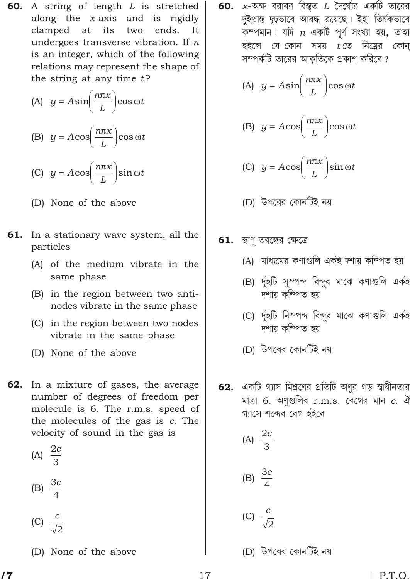- **60.** A string of length  $L$  is stretched along the  $x$ -axis and is rigidly clamped at its two ends. It undergoes transverse vibration. If  $n$ is an integer, which of the following relations may represent the shape of the string at any time  $t$ ?
	- (A) y Asin  $\frac{n x}{l}$  cos t
	- (B)  $y$  Acos  $\frac{n x}{L}$  cos t

(C) 
$$
y
$$
 Acos  $\frac{n x}{L}$  sin t

- (D) None of the above
- 61. In a stationary wave system, all the particles
	- (A) of the medium vibrate in the same phase
	- (B) in the region between two antinodes vibrate in the same phase
	- (C) in the region between two nodes vibrate in the same phase
	- (D) None of the above
- **62.** In a mixture of gases, the average number of degrees of freedom per molecule is 6. The r.m.s. speed of the molecules of the gas is c. The velocity of sound in the gas is
	- (A)  $\frac{2c}{3}$
	- (B)  $\frac{3c}{4}$
	- (C)  $\frac{c}{\sqrt{2}}$
	- (D) None of the above

দুইপ্রান্ত দৃঢ়ভাবে আবদ্ধ রয়েছে। ইহা তির্যকভাবে কম্পমান। যদি  $n$  একটি পূর্ণ সংখ্যা হয়, তাহা হইলে যে-কোন সময়  $t$ তে নিম্নের কোন্ সম্পর্কটি তারের আকৃতিকে প্রকাশ করিবে?

(A) 
$$
y
$$
 Asin  $\frac{n x}{L}$  cos  $t$ 

(B) 
$$
y
$$
 Acos  $\frac{n x}{L}$  cos  $t$ 

- (C) y Acos  $\frac{n x}{L}$  sin t
- (D) উপরের কোনর্টিই নয়
- $61.$  স্থাণ তরঙ্গের ক্ষেত্রে
	- (A) মাধ্যমের কণাগুলি একই দশায় কম্পিত হয়
	- (B) দুইটি সুস্পন্দ বিন্দুর মাঝে কণাগুলি একই দশায় কম্পিত হয়
	- (C) দুইটি নিম্পন্দ বিন্দুর মাঝে কণাগুলি একই দশায় কম্পিত হয়
	- (D) উপরের কোনটিই নয়
- 62. একটি গ্যাস মিশ্রণের প্রতিটি অণুর গড় স্বাধীনতার মাত্রা 6. অণুগুলির  $r.m.s.$  বেগের মান  $c.$  ঐ গ্যাসে শব্দের বেগ হইবে
	- (A)  $\frac{2c}{3}$
	- (B)  $\frac{3c}{4}$
	- (C)  $\frac{c}{\sqrt{2}}$
	- (D) উপরের কোনর্টিই নয়

71

 $[ P.T.O.$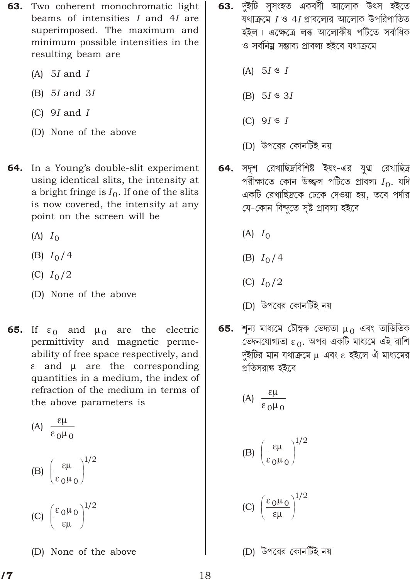- 63. Two coherent monochromatic light beams of intensities I and 4I are superimposed. The maximum and minimum possible intensities in the resulting beam are
	- $(A)$  5*I* and *I*
	- $(B)$  5*I* and 3*I*
	- (C)  $9I$  and  $I$
	- (D) None of the above
- 64. In a Young's double-slit experiment using identical slits, the intensity at a bright fringe is  $I_0$ . If one of the slits is now covered, the intensity at any point on the screen will be
	- $(A)$   $I_0$
	- (B)  $I_0/4$
	- (C)  $I_0/2$
	- (D) None of the above
- 65. If  $\alpha$  and  $\alpha$  are the electric permittivity and magnetic permeability of free space respectively, and and are the corresponding quantities in a medium, the index of refraction of the medium in terms of the above parameters is
	- $(A)$  $0 \quad 0$  $1/2$  $(B)$  $0\quad 0$
	- $\begin{array}{c} 0 & 0 \end{array}$  1/2  $(C)$
	- (D) None of the above
- **63.** দুইটি সুসংহত একবৰ্ণী আলোক উৎস হইতে যথাক্রমে  $I$  ও 4 $I$  প্রাবল্যের আলোক উপরিপাতিত হইল। এক্ষেত্রে লব্ধ আলোকীয় পটিতে সর্বাধিক ও সর্বনিয়ু সম্ভাব্য প্রাবল্য হইবে যথাক্রমে
	- (A)  $5I \text{ } \text{ } S I$
	- (B)  $5I \text{ }^{\circ}3I$
	- $(C)$  9*I*  $\mathcal{I}$  *I*
	- (D) উপরের কোনর্টিই নয়
- সদৃশ রেখাছিদ্রবিশিষ্ট ইয়ং-এর যুগ্ম রেখাছিদ্র 64. পরীক্ষাতে কোন উজ্জ্বল পটিতে প্রাবল্য  $I_0$ . যদি একটি রেখাছিদ্রকে ঢেকে দেওয়া হয়, তবে পর্দার যে-কোন বিন্দুতে সৃষ্ট প্ৰাবল্য হইবে
	- $(A)$   $I_0$
	- (B)  $I_0/4$
	- (C)  $I_0/2$
	- (D) উপরের কোনর্টিই নয়
- 65. শূন্য মাধ্যমে চৌম্বক ভেদ্যতা  $\alpha$  এবং তাড়িতিক ভেদনযোগ্যতা 0. অপর একটি মাধ্যমে এই রাশি দৃইটির মান যথাক্রমে এবং হইলে ঐ মাধ্যমের প্রতিসরাঙ্ক হইবে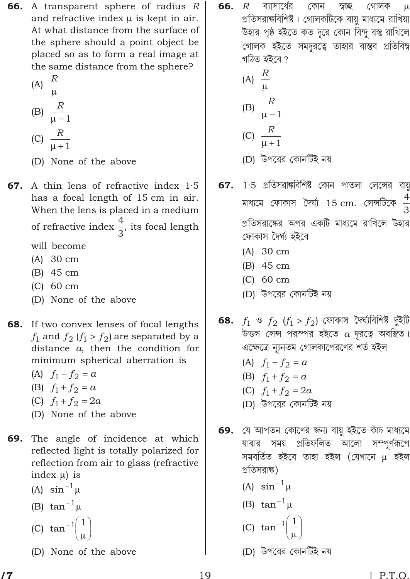**66.** A transparent sphere of radius R and refractive index is kept in air. At what distance from the surface of the sphere should a point object be placed so as to form a real image at the same distance from the sphere?

$$
(A)
$$
  $\stackrel{R}{-}$ 

$$
(B) \frac{R}{1}
$$

- (C)  $\frac{R}{1}$
- (D) None of the above
- **67.** A thin lens of refractive index 1.5 has a focal length of 15 cm in air. When the lens is placed in a medium of refractive index  $\frac{4}{3}$ , its focal length

will become

- $(A)$  30 cm
- $(B)$  45 cm
- $(C)$  60 cm
- (D) None of the above
- **68.** If two convex lenses of focal lengths  $f_1$  and  $f_2$   $(f_1 \quad f_2)$  are separated by a distance  $a$ , then the condition for minimum spherical aberration is
	- (A)  $f_1$   $f_2$  $\alpha$
	- (B)  $f_1$   $f_2$  $\alpha$
	- (C)  $f_1$   $f_2$  2a
	- (D) None of the above
- The angle of incidence at which 69. reflected light is totally polarized for reflection from air to glass (refractive index ) is
	- (A)  $\sin^{-1}$
	- (B) tan  $^1$
	- (C)  $\tan^{-1} \frac{1}{x}$
	- (D) None of the above

66. ব্যাসার্ধের কোন স্বচ্ছ  $\boldsymbol{R}$ গোলক প্রতিসরাঙ্কবিশিষ্ট। গোলকটিকে বায়ু মাধ্যমে রাখিয়া উহার পৃষ্ঠ হইতে কত দূরে কোন বিন্দু বস্তু রাখিলে গোলক হইতে সমদূরত্বে তাহার বাস্তব প্রতিবিম্ব গঠিত হইবে ?

(A) 
$$
\frac{R}{1}
$$
  
\n(B)  $\frac{R}{1}$   
\n(C)  $\frac{R}{1}$ 

- (D) উপরের কোনটিই নয়
- 67.  $1.5$  প্রতিসরাঙ্কবিশিষ্ট কোন পাতলা লেন্সের বায়ু মাধ্যমে ফোকাস দৈর্ঘ্য 15 cm. লেন্সটিকে  $\frac{4}{3}$ প্রতিসরাক্ষের অপর একটি মাধ্যমে রাখিলে উহার ফোকাস দৈৰ্ঘ্য হইবে
	- $(A)$  30 cm
	- $(B)$  45 cm
	- $(C)$  60 cm
	- (D) উপরের কোনর্টিই নয়
- 68.  $f_1$  ও  $f_2$   $(f_1$   $f_2)$  ফোকাস দৈর্ঘ্যবিশিষ্ট দুইটি উত্তল লেন্স পরস্পর হইতে  $a$  দূরত্বে অবস্থিত। এক্ষেত্রে ন্যূনতম গোলকাপেরণের শর্ত হইল
	- (A)  $f_1$   $f_2$  $\alpha$
	- (B)  $f_1$   $f_2$  $\alpha$
	- (C)  $f_1$   $f_2$  $2a$
	- (D) উপরের কোনর্টিই নয়
- যে আপতন কোণের জন্য বায়ু হইতে কাঁচ মাধ্যমে 69. যাবার সময় প্রতিফলিত আলো সম্পর্ণরূপে সমবৰ্তিত হইবে তাহা হইল (যেখানে হইল প্রতিসরাঙ্ক)
	- (A)  $\sin^{-1}$
	- (B)  $\tan^{-1}$
	- (C) tan  $1\frac{1}{2}$
	- (D) উপরের কোনটিই নয়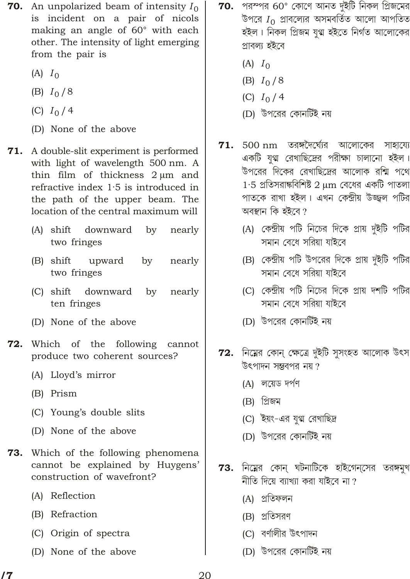- **70.** An unpolarized beam of intensity  $I_0$ is incident on a pair of nicols making an angle of 60° with each other. The intensity of light emerging from the pair is
	- $(A)$   $I_0$
	- (B)  $I_0/8$
	- (C)  $I_0/4$
	- (D) None of the above
- **71.** A double-slit experiment is performed with light of wavelength 500 nm. A thin film of thickness 2 m and refractive index  $1.5$  is introduced in the path of the upper beam. The location of the central maximum will
	- (A) shift downward by nearly two fringes
	- (B) shift upward by nearly two fringes
	- by (C) shift downward nearly ten fringes
	- (D) None of the above
- 72. Which of the following cannot produce two coherent sources?
	- (A) Lloyd's mirror
	- (B) Prism
	- (C) Young's double slits
	- (D) None of the above
- **73.** Which of the following phenomena cannot be explained by Huygens' construction of wavefront?
	- (A) Reflection
	- (B) Refraction
	- (C) Origin of spectra
	- (D) None of the above
- ${\bf 70.}$  পরস্পর 60° কোণে আনত দুইটি নিকল প্রিজমের উপরে  $I_0$  প্রাবল্যের অসমবর্তিত আলো আপতিত হইল। নিকল প্ৰিজম যগ্ম হইতে নিৰ্গত আলোকের প্ৰাবল্য হইবে
	- $(A)$   $I_0$
	- (B)  $I_0/8$
	- (C)  $I_0/4$
	- (D) উপরের কোনর্টিই নয়
- $500 \text{ nm}$  তরঙ্গদৈর্ঘ্যের আলোকের সাহায্যে 71. একটি যুগ্ম রেখাছিদ্রের পরীক্ষা চালানো হইল। উপরের দিকের রেখাছিদ্রের আলোক রশ্মি পথে  $1.5$  প্রতিসরাঙ্কবিশিষ্ট  $2\mod 7$  বেধের একটি পাতলা পাতকে রাখা হইল। এখন কেন্দ্রীয় উজ্জ্বল পটির অবস্থান কি হইবে ?
	- (A) কেন্দ্রীয় পটি নিচের দিকে প্রায় দুইটি পটির সমান বেধে সরিয়া যাইবে
	- (B) কেন্দ্রীয় পটি উপরের দিকে প্রায় দুইটি পটির সমান বেধে সরিয়া যাইবে
	- (C) কেন্দ্রীয় পটি নিচের দিকে প্রায় দর্শটি পটির সমান বেধে সরিয়া যাইবে
	- (D) উপরের কোনর্টিই নয়
- 72. নিম্নের কোন্ ক্ষেত্রে দুইটি সুসংহত আলোক উৎস উৎপাদন সম্বৰপৱ নয়  $\overline{\eta}$ 
	- (A) লয়েড দৰ্পণ
	- $(B)$  প্ৰিজম
	- (C) ইয়ং-এর যুগ্ম রেখাছিদ্র
	- (D) উপরের কোনর্টিই নয়
- $73.$  নিম্নের কোন্ ঘটনাটিকে হাইগেন্সের তরঙ্গমুখ নীতি দিয়ে ব্যাখ্যা করা যাইবে না?
	- (A) প্ৰতিফলন
	- (B) প্রতিসরণ
	- (C) বর্ণালীর উৎপাদন
	- (D) উপরের কোনর্টিই নয়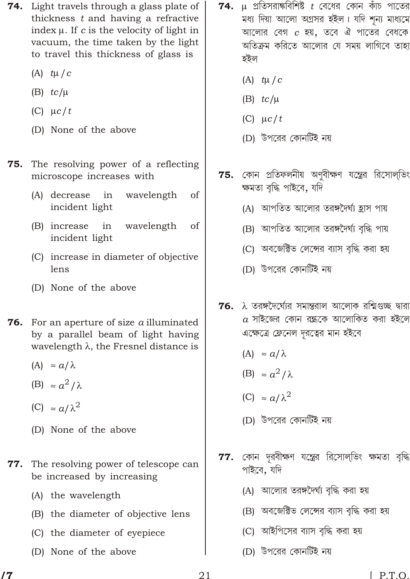- **74.** Light travels through a glass plate of thickness  $t$  and having a refractive index . If  $c$  is the velocity of light in vacuum, the time taken by the light to travel this thickness of glass is
	- $(A)$  t / c
	- $(B)$  tc/
	- $(C)$   $c/t$
	- (D) None of the above
- The resolving power of a reflecting 75. microscope increases with
	- (A) decrease in wavelength of incident light
	- (B) increase in wavelength of incident light
	- (C) increase in diameter of objective lens
	- (D) None of the above
- **76.** For an aperture of size  $a$  illuminated by a parallel beam of light having wavelength, the Fresnel distance is
	- $(A)$  $a/$
	- $a^2/$  $(B)$
	- $a/2$  $(C)$
	- (D) None of the above
- $77.$ The resolving power of telescope can be increased by increasing
	- (A) the wavelength
	- (B) the diameter of objective lens
	- (C) the diameter of eyepiece
	- (D) None of the above
- প্রতিসরাঙ্কবিশিষ্ট  $t$  বেধের কোন কাঁচ পাতের 74. মধ্য দিয়া আলো অগ্রসর হইল। যদি শন্য মাধ্যমে আলোর বেগ  $c$  হয়, তবে ঐ পাতের বেধকে অতিক্রম করিতে আলোর যে সময় লাগিবে তাহা হইল
	- (A)  $t/c$
	- $(B)$  tc/
	- $(C)$   $c/t$
	- (D) উপরের কোনটিই নয়
- কোন প্রতিফলনীয় অণবীক্ষণ যন্ত্রের রিসোলভিং 75. ক্ষমতা বৃদ্ধি পাইবে, যদি
	- (A) আপতিত আলোর তরঙ্গদৈর্ঘ্য হ্রাস পায়
	- (B) আপতিত আলোর তরঙ্গদৈর্ঘ্য বৃদ্ধি পায়
	- (C) অবজেক্টিভ লেন্সের ব্যাস বৃদ্ধি করা হয়
	- (D) উপরের কোনর্টিই নয়
- তরঙ্গদৈর্ঘ্যের সমান্তরাল আলোক রশ্মিগুচ্ছ দ্বারা 76.  $a$  সাইজের কোন রন্ধকে আলোকিত করা হইলে এক্ষেত্রে ফ্রেনেল দূরত্বের মান হইবে
	- $(A)$  $a/$
	- $a^2/$  $(B)$
	- $a/2$  $(C)$
	- (D) উপরের কোনর্টিই নয়
- $77.$  কোন দূরবীক্ষণ যন্ত্রের রিসোল্ভিং ক্ষমতা বৃদ্ধি পাইবে, যদি
	- (A) আলোর তরঙ্গদৈর্ঘ্য বৃদ্ধি করা হয়
	- (B) অবজেক্টিভ লেন্সের ব্যাস বৃদ্ধি করা হয়
	- (C) আইপিসের ব্যাস বদ্ধি করা হয়
	- (D) উপরের কোনর্টিই নয়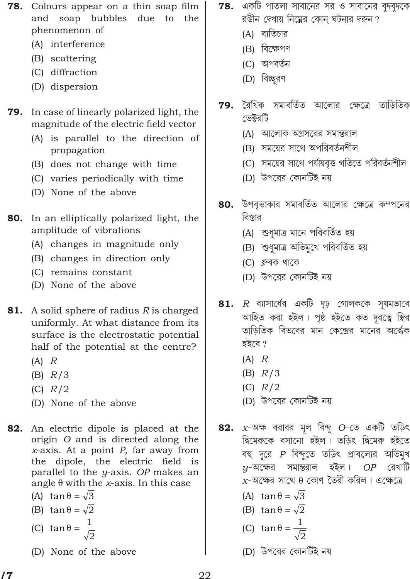- **78.** Colours appear on a thin soap film and soap bubbles due to the phenomenon of
	- (A) interference
	- (B) scattering
	- (C) diffraction
	- (D) dispersion
- **79.** In case of linearly polarized light, the magnitude of the electric field vector
	- (A) is parallel to the direction of propagation
	- (B) does not change with time
	- (C) varies periodically with time
	- (D) None of the above
- **80.** In an elliptically polarized light, the amplitude of vibrations
	- (A) changes in magnitude only
	- (B) changes in direction only
	- (C) remains constant
	- (D) None of the above
- **81.** A solid sphere of radius  $R$  is charged uniformly. At what distance from its surface is the electrostatic potential half of the potential at the centre?
	- $(A)$   $R$
	- $(B)$   $R/3$
	- $(C)$   $R/2$
	- (D) None of the above
- 82. An electric dipole is placed at the origin O and is directed along the  $x$ -axis. At a point  $P$ , far away from the dipole, the electric field is parallel to the y-axis. OP makes an angle with the *x*-axis. In this case
	- $\sqrt{3}$  $(A)$  tan
	- $\sqrt{2}$  $(B)$  tan
	- $(C)$  tan
		-
	- (D) None of the above
- ${\bf 78.}$  একটি পাতলা সাবানের সর ও সাবানের বুদবুদকে রঙীন দেখায় নিম্নের কোন ঘটনার দরুন?
	- (A) ব্যতিচার
	- (B) বিক্ষেপণ
	- (C) অপবর্তন
	- (D) বিচ্ছরণ
- রৈখিক সমাবর্তিত আলোর ক্ষেত্রে তাড়িতিক 79. ভেঈরটি
	- (A) আলোক অগ্রসরের সমান্তরাল
	- (B) সময়ের সাথে অপরিবর্তনশীল
	- (C) সময়ের সাথে পর্যায়বৃত্ত গতিতে পরিবর্তনশীল
	- (D) উপরের কোনর্টিই নয়
- **80.** উপবৃত্তাকার সমাবর্তিত আলোর ক্ষেত্রে কম্পনের বিস্তার
	- (A) শুধুমাত্র মানে পরিবর্তিত হয়
	- (B) শুধমাত্র অভিমখে পরিবর্তিত হয়
	- (C) ধ্রুবক থাকে
	- (D) উপরের কোনর্টিই নয়
- 81.  $R$  ব্যাসার্ধের একটি দৃঢ় গোলককে সমমভাবে আহিত করা হইল। পৃষ্ঠ হইতে কত দূরত্বে স্থির তাড়িতিক বিভবের মান কেন্দ্রের মানের অর্দ্ধেক হইবে ?
	- $(A)$   $R$
	- $(B)$   $R/3$
	- $(C)$   $R/2$
	- (D) উপরের কোনর্টিই নয়
- 82.  $x$ -অক্ষ বরাবর মূল বিন্দু  $O$ -তে একটি তড়িৎ দ্বিমেরুকে বসানো হইল। তড়িৎ দ্বিমেরু হইতে বহু দূরে  $P$  বিন্দুতে তড়িৎ প্রাবল্যের অভিমুখ  $y$ -অক্ষের সমান্তরাল হইল।  $OP$  রেখাটি  $x$ -অক্ষের সাথে কোণ তৈরী করিল। এক্ষেত্রে
	- $\sqrt{3}$  $(A)$  tan
	- $\sqrt{2}$  $(B)$  tan
	- $(C)$  tan
	- (D) উপরের কোনর্টিই নয়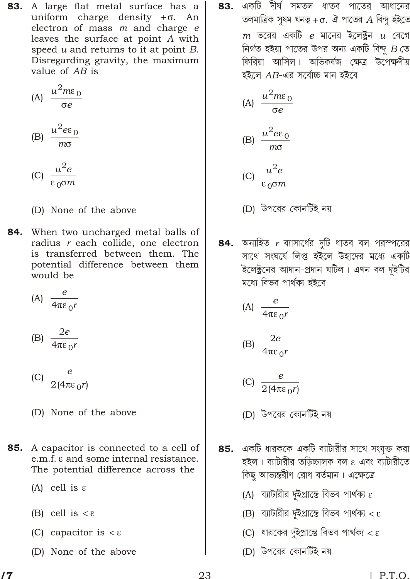**83.** A large flat metal surface has a uniform charge density . An electron of mass  $m$  and charge  $e$ leaves the surface at point A with speed  $u$  and returns to it at point  $B$ . Disregarding gravity, the maximum value of AB is

$$
(A) \frac{u^2m_0}{e}
$$

$$
(B) \frac{u^2 e_0}{m}
$$

$$
\text{(C)} \ \frac{u^2 e}{0 \ m}
$$

- (D) None of the above
- 84. When two uncharged metal balls of radius r each collide, one electron is transferred between them. The potential difference between them would be

(A)  $\frac{e}{4}$ 

$$
(B) \frac{2e}{40r}
$$

$$
(C) \frac{e}{2(4 \ 0^r)}
$$

- (D) None of the above
- **85.** A capacitor is connected to a cell of e.m.f. and some internal resistance. The potential difference across the
	- $(A)$  cell is
	- $(B)$  cell is
	- (C) capacitor is
	- (D) None of the above

একটি দীর্ঘ সমতল ধাতব পাতের আধানের 83. তলমাত্রিক সুষম ঘনত্ব  $\quad$ . ঐ পাতের  $A$  বিন্দু হইতে  $m$  ভরের একটি  $e$  মানের ইলেক্ট্রন  $u$  বেগে নিৰ্গত হইয়া পাতের উপর অন্য একটি বিন্দু  $B$  তে ফিরিয়া আসিল। অভিকর্ষজ ক্ষেত্র উপেক্ষণীয় হইলে AB-এর সর্বোচ্চ মান হইবে

(A) 
$$
\frac{u^2 m_0}{e}
$$
  
(B) 
$$
\frac{u^2 e_0}{m}
$$

$$
(C) \frac{u^-e}{0 \, m}
$$

- (D) উপরের কোনর্টিই নয়
- 84. অনাহিত  $r$  ব্যাসার্ধের দুটি ধাতব বল পরস্পরের সাথে সংঘর্ষে লিপ্ত হইলে উহাদের মধ্যে একটি ইলেক্ট্রনের আদান-প্রদান ঘটিল। এখন বল দুইটির মধ্যে বিভব পাৰ্থক্য হইবে

$$
(A) \frac{e}{4 \cdot 0^r}
$$

$$
(B) \frac{2e}{4 \cdot 0^r}
$$

$$
(C) \frac{e}{2(4 - \sigma^2)}
$$

- (D) উপরের কোনর্টিই নয়
- 85. একটি ধারককে একটি ব্যাটারীর সাথে সংযুক্ত করা হইল। ব্যাটারীর তড়িচ্চালক বল এবং ব্যাটারীতে কিছু আভ্যন্তরীণ রোধ বর্তমান। এক্ষেত্রে
	- (A) ব্যাটারীর দুইপ্রান্তে বিভব পার্থক্য
	- (B) ব্যাটারীর দুইপ্রান্তে বিভব পার্থক্য
	- (C) ধারকের দুইপ্রান্তে বিভব পার্থক্য
	- (D) উপরের কোনর্টিই নয়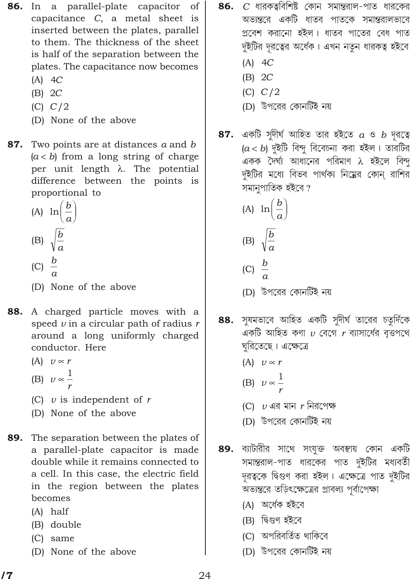- 86. In a parallel-plate capacitor of capacitance C, a metal sheet is inserted between the plates, parallel to them. The thickness of the sheet is half of the separation between the plates. The capacitance now becomes
	- $(A)$  4C
	- $(B) 2C$
	- $(C) C/2$
	- (D) None of the above
- 87. Two points are at distances a and b  $(a \quad b)$  from a long string of charge per unit length . The potential difference between the points is proportional to
	- (A) ln  $\frac{b}{a}$ (B)  $\sqrt{\frac{b}{a}}$ (C)  $\frac{b}{a}$
	-
	- (D) None of the above
- 88. A charged particle moves with a speed  $v$  in a circular path of radius  $r$ around a long uniformly charged conductor. Here
	- $(A)$  v r
	- (B)  $v \frac{1}{x}$
	-
	- (C)  $v$  is independent of r
	- (D) None of the above
- 89. The separation between the plates of a parallel-plate capacitor is made double while it remains connected to a cell. In this case, the electric field in the region between the plates becomes
	- $(A)$  half
	- (B) double
	- $(C)$  same
	- (D) None of the above
- $C$  ধারকত্ববিশিষ্ট কোন সমান্তরাল-পাত ধারকের 86. অভ্যন্তরে একটি ধাতব পাতকে সমান্তরালভাবে প্রবেশ করানো হইল। ধাতব পাতের বেধ পাত দুইটির দূরত্বের অর্ধেক। এখন নতুন ধারকত্ব হইবে
	- $(A)$  4C
	- $(B) 2C$
	- $(C) C/2$
	- (D) উপরের কোনর্টিই নয়
- একটি সুদীর্ঘ আহিত তার হইতে  $a$  ও  $b$  দূরত্বে 87.  $(a$  b) দুইটি বিন্দু বিবেচনা করা হইল। তারটির একক দৈৰ্ঘ্য আধানের পরিমাণ হইলে বিন্দু দুইটির মধ্যে বিভব পার্থক্য নিম্নের কোন্ রাশির সমানুপাতিক হইবে?
	- (A) ln  $\frac{b}{a}$
	- (B)  $\sqrt{\frac{b}{a}}$
	- (C)  $\frac{b}{c}$
	- (D) উপরের কোনর্টিই নয়
- সুষমভাবে আহিত একটি সুদীর্ঘ তারের চতুর্দিকে 88. একটি আহিত কণা  $\nu$  বেগে  $r$  ব্যাসার্ধের বত্তপথে ঘরিতেছে। এক্ষেত্রে
	- $(A)$   $\upsilon$  $\mathbf{r}$
	- (B)  $v \frac{1}{2}$
	- (C)  $\nu$  এর মান  $r$  নিরপেক্ষ
	- (D) উপরের কোনর্টিই নয়
- 89. ব্যাটারীর সাথে সংযুক্ত অবস্থায় কোন একটি সমান্তরাল-পাত ধারকের পাত দুইটির মধ্যবর্তী দূরত্বকে দ্বিগুণ করা হইল। এক্ষেত্রে পাত দুইটির অভ্যন্তরে তড়িৎক্ষেত্রের প্রাবল্য পূর্বাপেক্ষা
	- (A) অৰ্ধেক হইবে
	- (B) দ্বিগুণ হইবে
	- (C) অপরিবর্তিত থাকিবে
	- (D) উপরের কোনর্টিই নয়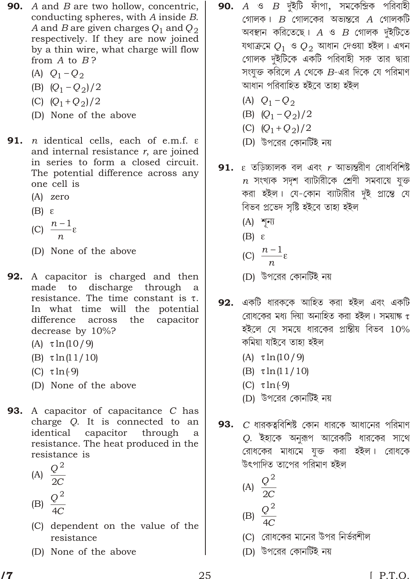- **90.** A and B are two hollow, concentric, conducting spheres, with A inside B. A and B are given charges  $Q_1$  and  $Q_2$ respectively. If they are now joined by a thin wire, what charge will flow from  $A$  to  $B$ ?
	- (A)  $Q_1$   $Q_2$
	- (B)  $(Q_1 \ Q_2)/2$
	- (C)  $(Q_1 \ Q_2)/2$
	- (D) None of the above
- 91. *n* identical cells, each of e.m.f. and internal resistance  $r$ , are joined in series to form a closed circuit. The potential difference across any one cell is
	- $(A)$  zero
	- $(B)$
	- (C)  $\frac{n}{n}$
	-
	- (D) None of the above
- A capacitor is charged and then 92. made to discharge through a resistance. The time constant is In what time will the potential difference across the capacitor decrease by 10%?
	- $(A)$  $ln(10/9)$
	- $(B)$  $\ln(11/10)$
	- $(C) \ln(9)$
	- (D) None of the above
- 93. A capacitor of capacitance C has charge Q. It is connected to an identical capacitor through a resistance. The heat produced in the resistance is
	- (A)  $\frac{Q^2}{2C}$
	- (B)  $\frac{Q^2}{4C}$
	- (C) dependent on the value of the resistance
	- (D) None of the above
- 90.  $A$  ও  $B$  দুইটি ফাঁপা, সমকেন্দ্রিক পরিবাহী গোলক।  $B$  গোলকের অভ্যন্তরে  $A$  গোলকটি অবস্থান করিতেছে।  $A$  ও  $B$  গোলক দুইটিতে যথাক্ৰমে  $Q_1$  ও  $Q_2$  আধান দেওয়া হইল। এখন গোলক দুইটিকে একটি পরিবাহী সরু তার দ্বারা সংযুক্ত করিলে  $A$  থেকে  $B$ -এর দিকে যে পরিমাণ আধান পরিবাহিত হইবে তাহা হইল
	- (A)  $Q_1$   $Q_2$
	- $(B)$   $(Q_1)$  $Q_2/2$
	- (C)  $(Q_1 \ Q_2)/2$
	- (D) উপরের কোনর্টিই নয়
- তড়িচ্চালক বল এবং  $r$  আভ্যন্তরীণ রোধবিশিষ্ট 91.  $n$  সংখ্যক সদৃশ ব্যাটারীকে শ্রেণী সমবায়ে যুক্ত করা হইল। যে-কোন ব্যাটারীর দুই প্রান্তে যে বিভব প্ৰভেদ সৃষ্টি হইবে তাহা হইল
	- $(A)$  \*  $\overline{\mathbb{F}}$
	- $(B)$
	- (C)  $\frac{n}{n}$
	-
	- (D) উপরের কোনর্টিই নয়
- 92. একটি ধারককে আহিত করা হইল এবং একটি রোধকের মধ্য দিয়া অনাহিত করা হইল। সময়াঙ্ক হইলে যে সময়ে ধারকের প্রান্তীয় বিভব  $10\%$ কমিয়া যাইবে তাহা হইল
	- $(A)$  $ln(10/9)$
	- $(B)$  $ln(11/10)$
	- $(C) \ln(9)$
	- (D) উপরের কোনর্টিই নয়
- $C$  ধারকত্ববিশিষ্ট কোন ধারকে আধানের পরিমাণ 93. Q. ইহাকে অনুরূপ আরেকটি ধারকের সাথে রোধকের মাধ্যমে যুক্ত করা হইল। রোধকে উৎপাদিত তাপের পরিমাণ হইল
	- (A)  $\frac{Q^2}{2C}$
	- (B)  $\frac{Q^2}{4C}$
	- (C) রোধকের মানের উপর নির্ভরশীল
	- (D) উপরের কোনর্টিই নয়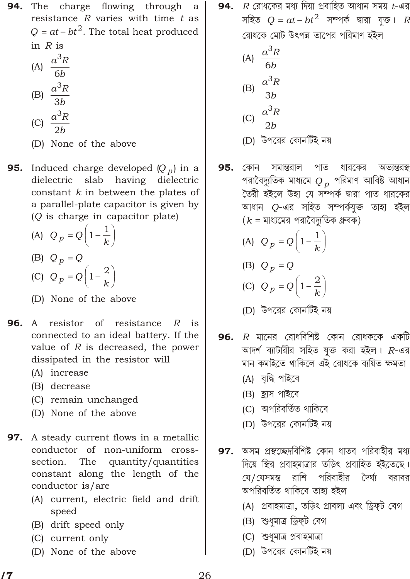The charge flowing through 94. a resistance  $R$  varies with time  $t$  as O at  $bt^2$ . The total heat produced in  $R$  is

(A) 
$$
\frac{a^3R}{6b}
$$
  
\n(B) 
$$
\frac{a^3R}{3b}
$$
  
\n(C) 
$$
\frac{a^3R}{2b}
$$

(D) None of the above

95. Induced charge developed  $(Q_p)$  in a dielectric slab having dielectric constant  $k$  in between the plates of a parallel-plate capacitor is given by (Q is charge in capacitor plate)

- (A)  $Q_p$   $Q_1$   $\frac{1}{k}$ (B)  $Q_p$   $Q$ (C)  $Q_p$   $Q_1$   $\frac{2}{k}$
- (D) None of the above
- resistor of resistance R 96. is A connected to an ideal battery. If the value of  $R$  is decreased, the power dissipated in the resistor will
	- (A) increase
	- (B) decrease
	- (C) remain unchanged
	- (D) None of the above
- 97. A steady current flows in a metallic conductor of non-uniform crosssection. The quantity/quantities constant along the length of the conductor is/are
	- (A) current, electric field and drift speed
	- (B) drift speed only
	- (C) current only
	- (D) None of the above

94.  $\,$  R রোধকের মধ্য দিয়া প্রবাহিত আধান সময়  $\,$  -এর সহিত  $Q$   $at$   $bt^2$  সম্পৰ্ক দ্বারা যক্ত।  $R$ রোধকে মোট উৎপন্ন তাপের পরিমাণ হইল

(A) 
$$
\frac{a^3 R}{6b}
$$
  
\n(B) 
$$
\frac{a^3 R}{3b}
$$
  
\n(C) 
$$
\frac{a^3 R}{2b}
$$

- (D) উপরের কোনর্টিই নয়
- 95. কোন সমান্তরাল পাত ধারকের অভ্যন্তরন্থ পরাবৈদ্যুতিক মাধ্যমে  $Q_{\,p} \,$  পরিমাণ আবিষ্ট আধান তৈরী হইলে উহা যে সন্পর্ক দ্বারা পাত ধারকের আধান O-এর সহিত সম্পর্কযুক্ত তাহা হইল  $(k = 1)$ যাধ্যমের পরাবৈদ্যুতিক ধ্রুবক)
	- (A)  $Q_p$   $Q_1$   $\frac{1}{k}$
	- (B)  $Q_p$   $Q$
	- (C)  $Q_p$   $Q_1$   $\frac{2}{k}$
	- (D) উপরের কোনর্টিই নয়
- $R$  মানের রোধবিশিষ্ট কোন রোধককে একটি 96. আদর্শ ব্যাটারীর সহিত যুক্ত করা হইল।  $R$ -এর মান কমাইতে থাকিলে এই রোধকে ব্যয়িত ক্ষমতা
	- (A) বৃদ্ধি পাইবে
	- (B) হ্ৰাস পাইবে
	- (C) অপরিবর্তিত থাকিবে
	- (D) উপরের কোনর্টিই নয়
- অসম প্রস্থচ্ছেদবিশিষ্ট কোন ধাতব পরিবাহীর মধ্য 97. দিয়ে স্থির প্রবাহমাত্রার তডিৎ প্রবাহিত হইতেছে। রাশি পরিবাহীর দৈর্ঘ্য বরাবর যে / যেসমস্ত অপরিবর্তিত থাকিবে তাহা হইল
	- (A) প্রবাহমাত্রা, তড়িৎ প্রাবল্য এবং ড্রিফ্ট বেগ
	- (B) শুধুমাত্র ড্রিফ্ট বেগ
	- (C) শুধুমাত্র প্রবাহমাত্রা
	- (D) উপরের কোনর্টিই নয়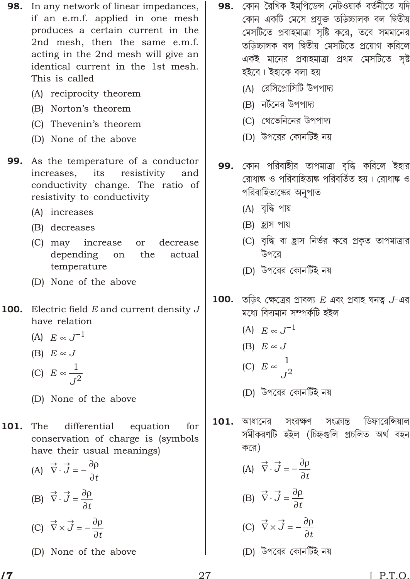- **98.** In any network of linear impedances, if an e.m.f. applied in one mesh produces a certain current in the 2nd mesh, then the same e.m.f. acting in the 2nd mesh will give an identical current in the 1st mesh. This is called
	- (A) reciprocity theorem
	- (B) Norton's theorem
	- (C) Thevenin's theorem
	- (D) None of the above
- **99.** As the temperature of a conductor increases, its resistivity and conductivity change. The ratio of resistivity to conductivity
	- (A) increases
	- (B) decreases
	- (C) may increase decrease or depending on the actual temperature
	- (D) None of the above
- 100. Electric field  $E$  and current density  $J$ have relation
	- $J^{\perp}$  $(A)$   $E$
	- $(B) E$  $J_{\rm}$
	- (C)  $E = \frac{1}{l^2}$
	- (D) None of the above
- 101. The differential equation for conservation of charge is (symbols have their usual meanings)
	- (A)  $\rightarrow$   $\vec{J}$ (B)  $\rightarrow$   $\overrightarrow{J}$   $\rightarrow$ (C)  $\rightarrow$   $\vec{J}$   $\rightarrow$
	- (D) None of the above
- **98.** কোন রৈখিক ইম্পিডেন্স নেটওয়ার্ক বর্তনীতে যদি কোন একটি মেসে প্ৰযুক্ত তড়িচ্চালক বল দ্বিতীয় মেসটিতে প্রবাহমাত্রা সৃষ্টি করে, তবে সমমানের তড়িচ্চালক বল দ্বিতীয় মেসটিতে প্রয়োগ করিলে একই মানের প্রবাহমাত্রা প্রথম মেসটিতে সৃষ্ট হইবে। ইহাকে বলা হয়
	- (A) রেসিপ্রোসিটি উপপাদ্য
	- (B) নৰ্টনের উপপাদ্য
	- (C) থেভেনিনের উপপাদ্য
	- (D) উপরের কোনর্টিই নয়
- 99. কোন পরিবাহীর তাপমাত্রা বৃদ্ধি করিলে ইহার রোধাঙ্ক ও পরিবাহিতাঙ্ক পরিবর্তিত হয়। রোধাঙ্ক ও পরিবাহিতাঙ্কের অনুপাত
	- (A) বৃদ্ধি পায়
	- (B) হ্ৰাস পায়
	- (C) বৃদ্ধি বা হ্রাস নির্ভর করে প্রকৃত তাপমাত্রার উপরে
	- (D) উপরের কোনর্টিই নয়
- 100. তড়িৎ ক্ষেত্রের প্রাবল্য  $E$  এবং প্রবাহ ঘনত্ব  $J$ -এর মধ্যে বিদ্যমান সম্পৰ্কটি হইল
	- (A)  $E \t J^{-1}$
	- $(B) E J$
	- (C)  $E = \frac{1}{I^2}$
	- (D) উপরের কোনর্টিই নয়
- ডিফারেন্সিয়াল 101. আধানের সংরক্ষণ সংক্ৰান্ত সমীকরণটি হইল (চিহ্নগুলি প্রচলিত অর্থ বহন করে)
	- (A)  $\rightarrow$   $\overrightarrow{J}$   $\rightarrow$
	- (B)  $\rightarrow$   $\overrightarrow{J}$   $\rightarrow$
	- (C)  $\overrightarrow{J}$
	- (D) উপরের কোনর্টিই নয়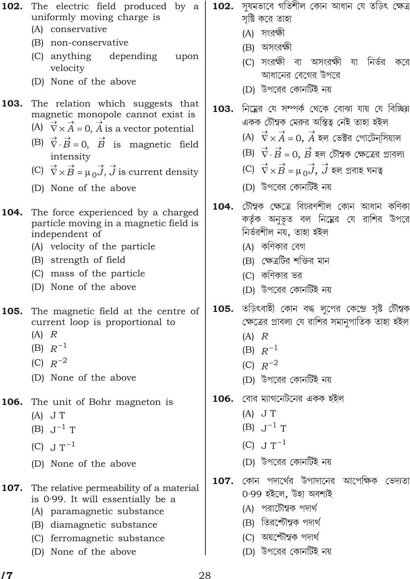| 102. | The electric field produced by<br>a<br>uniformly moving charge is                                        |  |  |
|------|----------------------------------------------------------------------------------------------------------|--|--|
|      | (A) conservative                                                                                         |  |  |
|      | (B) non-conservative                                                                                     |  |  |
|      | (C) anything depending<br>upon                                                                           |  |  |
|      | velocity                                                                                                 |  |  |
|      | (D) None of the above                                                                                    |  |  |
| 103. | The relation which suggests that                                                                         |  |  |
|      | magnetic monopole cannot exist is                                                                        |  |  |
|      | $\overrightarrow{A}$ 0, $\overrightarrow{A}$ is a vector potential<br>(A)                                |  |  |
|      | (B) $\rightarrow$ $\vec{B}$ 0, $\vec{B}$ is magnetic field                                               |  |  |
|      | intensity                                                                                                |  |  |
|      | (C) $\rightarrow$ $\overrightarrow{B}$<br>$\overrightarrow{J}$ , $\overrightarrow{J}$ is current density |  |  |
|      | (D) None of the above                                                                                    |  |  |
|      | 104. The force experienced by a charged                                                                  |  |  |
|      | particle moving in a magnetic field is                                                                   |  |  |
|      | independent of                                                                                           |  |  |
|      | (A) velocity of the particle                                                                             |  |  |
|      | (B) strength of field                                                                                    |  |  |
|      | (C) mass of the particle                                                                                 |  |  |
|      | (D) None of the above                                                                                    |  |  |
| 105. | The magnetic field at the centre of                                                                      |  |  |
|      | current loop is proportional to                                                                          |  |  |
|      | $(A)$ $R$                                                                                                |  |  |

- $(B) R^{-1}$
- (C)  $R^{2}$
- (D) None of the above
- 106. The unit of Bohr magneton is
	- $(A)$  J T
	- $(B)$  J  $^{1}$  T
	- $(C)$  J  $T^{-1}$
	- (D) None of the above
- 107. The relative permeability of a material is 0.99. It will essentially be a
	- (A) paramagnetic substance
	- (B) diamagnetic substance
	- (C) ferromagnetic substance
	- (D) None of the above
- **102.** সুষমভাবে গতিশীল কোন আধান যে তড়িৎ ক্ষেত্ৰ সৃষ্টি করে তাহা
	- (A) সংরক্ষী
	- (B) অসংরক্ষী
	- IC) সংরক্ষী বা অসংরক্ষী যা নির্ভর করে আধানের বেগের উপরে
	- (D) উপরের কোনর্টিই নয়
- 103. নিম্নের যে সম্পর্ক থেকে বোঝা যায় যে বিচ্ছিন একক চৌম্বক মেরুর অস্তিত্ব নেই তাহা হইল
	- $(A) \rightarrow$  $\overrightarrow{A}$  0,  $\overrightarrow{A}$  হল ভেক্টর পোটেনসিয়াল
	- $\vec{B}$   $\,$  0,  $\vec{B}$  হল চৌম্বক ক্ষেত্রের প্রাবল্য  $(B)$ <sup>-7</sup>
	- $\vec{B}$  $\overrightarrow{J}$ ,  $\overrightarrow{J}$  হল প্ৰবাহ ঘনত্ব  $(C)$ <sup>-7</sup>
	- (D) উপরের কোনটিই নয়
- 104. চৌম্বক ক্ষেত্রে বিচরণশীল কোন আধান কণিকা কর্তৃক অনুভূত বল নিম্নের যে রাশির উপরে নিৰ্ভরশীল নয়, তাহা হইল
	- (A) কণিকার বেগ
	- (B) ক্ষেত্রটির শক্তির মান
	- (C) কণিকার ভর
	- (D) উপরের কোনর্টিই নয়
- 105. তড়িৎবাহী কোন বদ্ধ লুপের কেন্দ্রে সৃষ্ট চৌম্বক ক্ষেত্রের প্রাবল্য যে রাশির সমানুপাতিক তাহা হইল
	- $(A)$   $R$
	- $(B) R^{-1}$
	- (C)  $R^{2}$
	- (D) উপরের কোনর্টিই নয়
- বোর ম্যাগনেটনের একক হইল 106.
	- $(A)$  J T
	- $(B)$  J  $\perp$  T
	- (C) J  $T^{-1}$
	- (D) উপরের কোনটিই নয়
- 107. কোন পদার্থের উপাদানের আপেক্ষিক ভেদ্যতা
	- 0.99 হইলে, উহা অবশ্যই
	- (A) পরাচৌম্বক পদার্থ
	- (B) তিরশ্চৌম্বক পদার্থ
	- (C) অয়শ্চৌম্বক পদার্থ
	- (D) উপরের কোনর্টিই নয়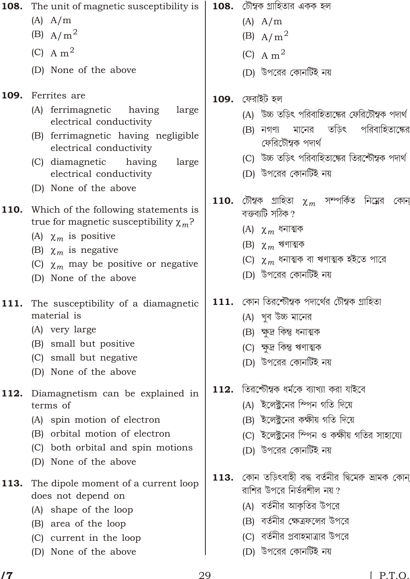108. The unit of magnetic susceptibility is

- $(A)$   $A/m$
- (B)  $A/m^2$
- $(C)$  A m<sup>2</sup>
- (D) None of the above

# 109. Ferrites are

- (A) ferrimagnetic having large electrical conductivity
- (B) ferrimagnetic having negligible electrical conductivity
- (C) diamagnetic having large electrical conductivity
- (D) None of the above

# 110. Which of the following statements is true for magnetic susceptibility  $m^2$

- $<sub>m</sub>$  is positive</sub>  $(A)$
- (B)  $_m$  is negative
- $<sub>m</sub>$  may be positive or negative</sub>  $(C)$
- (D) None of the above

#### The susceptibility of a diamagnetic 111. material is

- (A) very large
- (B) small but positive
- (C) small but negative
- (D) None of the above
- Diamagnetism can be explained in 112. terms of
	- (A) spin motion of electron
	- (B) orbital motion of electron
	- (C) both orbital and spin motions
	- (D) None of the above
- 113. The dipole moment of a current loop does not depend on
	- (A) shape of the loop
	- (B) area of the loop
	- (C) current in the loop
	- (D) None of the above

 $\bf 108.$  চৌম্বক গ্ৰাহিতার একক হল

- $(A)$   $A/m$
- (B)  $A/m^2$
- $(C)$  A m<sup>2</sup>
- (D) উপরের কোনর্টিই নয়

# $109.$  ফেরাইট হল

- (A) উচ্চ তড়িৎ পরিবাহিতাঙ্কের ফেরিটৌম্বক পদার্থ
- তডিৎ পরিবাহিতাক্ষের  $(B)$  নগণ্য মানের ফেরিচৌম্বক পদার্থ
- (C) উচ্চ তড়িৎ পরিবাহিতাঙ্কের তিরশ্চৌম্বক পদার্থ
- (D) উপরের কোনর্টিই নয়
- সম্পর্কিত নিম্নের চৌম্বক গ্ৰাহিতা **110.** কোন  $\mathbf{m}$ বক্তব্যটি সঠিক ?
	- $m$  ধনাত্মক  $(A)$
	- $m$  ঋণাত্মক  $(B)$
	- $_m$  ধনাত্মক বা ঋণাত্মক হইতে পারে  $(C)$
	- (D) উপরের কোনর্টিই নয়
- $111.$  কোন তিরর্শ্চৌম্বক পদার্থের চৌম্বক গ্রাহিতা
	- (A) খব উচ্চ মানের
	- (B) ক্ষুদ্ৰ কিন্তু ধনাত্মক
	- (C) ক্ষদ্ৰ কিন্তু ঋণাত্মক
	- (D) উপরের কোনর্টিই নয়
- $112.$  তিরশ্চৌম্বক ধর্মকে ব্যাখ্যা করা যাইবে
	- (A) ইলেক্টনের স্পিন গতি দিয়ে
	- (B) ইলেক্টনের কক্ষীয় গতি দিয়ে
	- (C) ইলেক্টনের স্পিন ও কক্ষীয় গতির সাহায্যে
	- (D) উপরের কোনর্টিই নয়
- $113.$  কোন তড়িৎবাহী বদ্ধ বৰ্তনীর দ্বিমেরু ভ্রামক কোন্ রাশির উপরে নির্ভরশীল নয় ?
	- (A) বর্তনীর আকৃতির উপরে
	- (B) বর্তনীর ক্ষেত্রফলের উপরে
	- (C) বর্তনীর প্রবাহমাত্রার উপরে
	- (D) উপরের কোনর্টিই নয়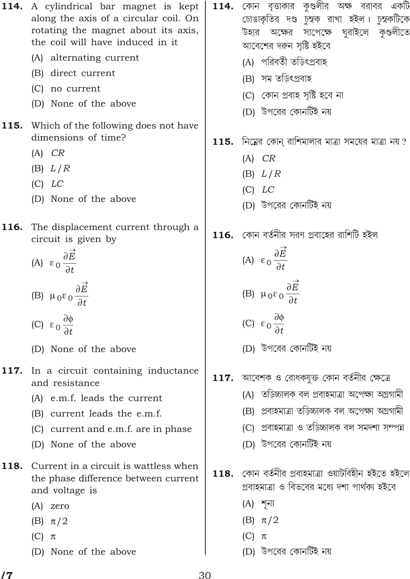114. A cylindrical bar magnet is kept along the axis of a circular coil. On rotating the magnet about its axis, the coil will have induced in it

- (A) alternating current
- (B) direct current
- (C) no current
- (D) None of the above
- **115.** Which of the following does not have dimensions of time?
	- $(A)$   $CR$
	- $(B) L/R$
	- $(C)$   $LC$
	- (D) None of the above
- 116. The displacement current through a circuit is given by

(A) 
$$
0 \frac{\vec{E}}{t}
$$
  
(B) 
$$
0 \frac{\vec{E}}{t}
$$

- $(C)$  $0 \frac{1}{t}$
- (D) None of the above
- 117. In a circuit containing inductance and resistance
	- (A) e.m.f. leads the current
	- (B) current leads the e.m.f.
	- (C) current and e.m.f. are in phase
	- (D) None of the above
- 118. Current in a circuit is wattless when the phase difference between current and voltage is
	- $(A)$  zero
	- $(B)$  /2
	- $(C)$
	- (D) None of the above
- **114.** কোন বৃত্তাকার কুণ্ডলীর অক্ষ বরাবর একটি চোঙাকৃতির দণ্ড চুম্বক রাখা হইল। চুম্বকটিকে উহার অক্ষের সাপেক্ষে ঘুরাইলে কৃণ্ডলীতে আবেশের দরুন সৃষ্টি হইবে
	- (A) পরিবর্তী তড়িৎপ্রবাহ
	- (B) সম তড়িৎপ্ৰবাহ
	- (C) কোন প্ৰবাহ সৃষ্টি হবে না
	- (D) উপরের কোনর্টিই নয়
- $115.$  নিম্নের কোন্ রাশিমালার মাত্রা সময়ের মাত্রা নয় ?
	- $(A)$   $CR$
	- $(B) L/R$
	- $(C)$   $LC$
	- (D) উপরের কোনর্টিই নয়
- $116.$  কোন বর্তনীর সরণ প্রবাহের রাশিটি হইল

(A) 
$$
0 \frac{\vec{E}}{t}
$$
  
\n(B)  $0 \frac{\vec{E}}{t}$ 

- (C)  $0 \frac{1}{t}$
- (D) উপরের কোনর্টিই নয়
- $117.$  আবেশক ও রোধকযুক্ত কোন বর্তনীর ক্ষেত্রে
	- (A) তড়িচ্চালক বল প্ৰবাহমাত্ৰা অপেক্ষা অগ্ৰগামী
	- (B) প্ৰবাহমাত্ৰা তড়িচ্চালক বল অপেক্ষা অগ্ৰগামী
	- (C) প্ৰবাহমাত্ৰা ও তড়িচ্চালক বল সমদশা সম্পন্ন
	- (D) উপরের কোনর্টিই নয়
- $118.$  কোন বৰ্তনীর প্রবাহমাত্রা ওয়াটবিহীন হইতে হইলে প্ৰবাহমাত্ৰা ও বিভবের মধ্যে দশা পাৰ্থক্য হইবে
	- $(A)$  শূন্য
	- $(B)$  $/2$
	- $(C)$
	- (D) উপরের কোনর্টিই নয়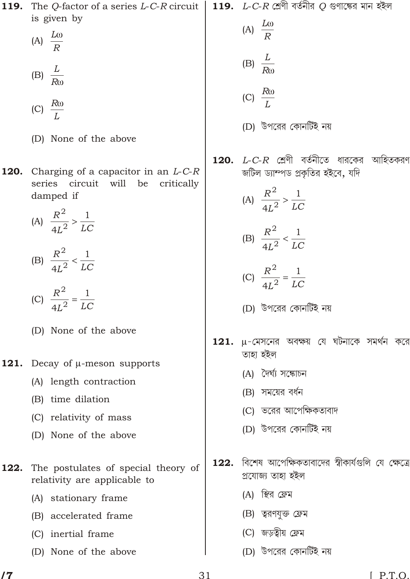is given by (A)  $\frac{L}{R}$ (A)  $\frac{L}{R}$ (B)  $\frac{L}{R}$ (B)  $\frac{L}{R}$ (C)  $\frac{R}{I}$ (C)  $\frac{R}{I}$ (D) উপরের কোনর্টিই নয় (D) None of the above  $L$ - $C$ - $R$  শ্রেণী বর্তনীতে ধারকের আহিতকরণ 120. 120. Charging of a capacitor in an  $L$ -C-R জটিল ড্যাম্পড প্রকৃতির হইবে, যদি series circuit will be critically (A)  $\frac{R^2}{4L^2}$   $\frac{1}{LC}$ damped if (A)  $\frac{R^2}{4L^2}$   $\frac{1}{LC}$ (B)  $\frac{R^2}{4I^2}$   $\frac{1}{LC}$ (B)  $\frac{R^2}{4L^2}$   $\frac{1}{LC}$ (C)  $\frac{R^2}{4L^2}$   $\frac{1}{LC}$ (C)  $\frac{R^2}{4L^2}$   $\frac{1}{LC}$ (D) উপরের কোনর্টিই নয় (D) None of the above -মেসনের অবক্ষয় যে ঘটনাকে সমর্থন করে 121. তাহা হইল Decay of -meson supports 121. (A) দৈৰ্ঘ্য সঙ্কোচন (A) length contraction (B) সময়ের বর্ধন (B) time dilation (C) ভরের আপেক্ষিকতাবাদ (C) relativity of mass (D) উপরের কোনর্টিই নয় (D) None of the above াবিশেষ আপেক্ষিকতাবাদের স্বীকার্যগুলি যে ক্ষেত্রে 122. The postulates of special theory of 122. প্ৰযোজ্য তাহা হইল relativity are applicable to (A) স্থির ফ্রেম (A) stationary frame (B) ত্বরণযুক্ত ফ্রেম (B) accelerated frame (C) জড়ত্বীয় ফ্রেম (C) inertial frame

119.

The Q-factor of a series  $L$ -C-R circuit

119.

 $L$ - $C$ - $R$  শ্রেণী বর্তনীর  $\overline{Q}$  গুণাঙ্কের মান হইল

 $\sqrt{7}$ 

(D) None of the above

(D) উপরের কোনর্টিই নয়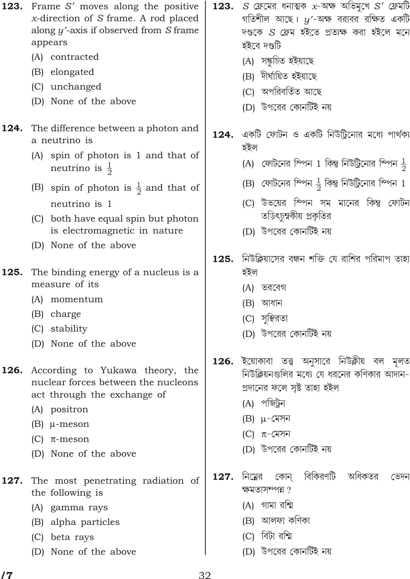- 123. Frame S moves along the positive x-direction of  $S$  frame. A rod placed along  $y$  -axis if observed from  $S$  frame appears
	- (A) contracted
	- (B) elongated
	- (C) unchanged
	- (D) None of the above

#### 124. The difference between a photon and a neutrino is

- (A) spin of photon is 1 and that of neutrino is  $\frac{1}{2}$
- (B) spin of photon is  $\frac{1}{2}$  and that of neutrino is 1
- (C) both have equal spin but photon is electromagnetic in nature
- (D) None of the above
- 125. The binding energy of a nucleus is a measure of its
	- (A) momentum
	- (B) charge
	- (C) stability
	- (D) None of the above

# **126.** According to Yukawa theory, the nuclear forces between the nucleons act through the exchange of

- (A) positron
- $(B)$ -meson
- $(C)$ -meson
- (D) None of the above
- 127. The most penetrating radiation of the following is
	- (A) gamma rays
	- (B) alpha particles
	- (C) beta rays
	- (D) None of the above
- $S$  ফ্রেমের ধনাত্মক  $x$ -অক্ষ অভিমুখে  $S$  ফ্রেমটি 123. গতিশীল আছে।  $y$  -অক্ষ বরাবর রক্ষিত একটি দণ্ডকে S ফ্রেম হইতে প্রত্যক্ষ করা হইলে মনে হইবে দণ্ডটি
	- (A) সঙ্কচিত হইয়াছে
	- (B) দীৰ্ঘায়িত হইয়াছে
	- (C) অপরিবর্তিত আছে
	- (D) উপরের কোনর্টিই নয়
- $124.$  একটি ফোটন ও একটি নিউট্রিনোর মধ্যে পার্থক্য হইল
	- (A) ফোটনের ম্পিন 1 কিন্তু নিউট্রিনোর ম্পিন  $\frac{1}{2}$
	- (B) ফোটনের ম্পিন  $\frac{1}{6}$  কিন্তু নিউট্রিনোর ম্পিন 1
	- (C) উভয়ের স্পিন সম মানের কিন্তু ফোটন তড়িৎচুম্বকীয় প্রকৃতির
	- (D) উপরের কোনর্টিই নয়
- নিউক্লিয়াসের বন্ধন শক্তি যে রাশির পরিমাপ তাহা 125. হইল
	- (A) ভরবেগ
	- (B) আধান
	- (C) সুস্থিরতা
	- (D) উপরের কোনর্টিই নয়
- **126.** ইয়োকাবা তত্ত্ব অনুসারে নিউক্লীয় বল মূলত নিউক্লিয়নগুলির মধ্যে যে ধরনের কণিকার আদান-প্ৰদানের ফলে সৃষ্ট তাহা হইল
	- $(A)$  পজিটন
	- $(B)$ -মেসন
	- $(C)$  $-$ মেসন
	- (D) উপরের কোনর্টিই নয়
- বিকিরণটি অধিকতর নিম্নের 127. কোন ডেদন ক্ষমতাসম্পন্ন?
	- (A) গামা রশ্মি
	- (B) আলফা কণিকা
	- (C) বিটা রশ্মি
	- (D) উপরের কোনটিই নয়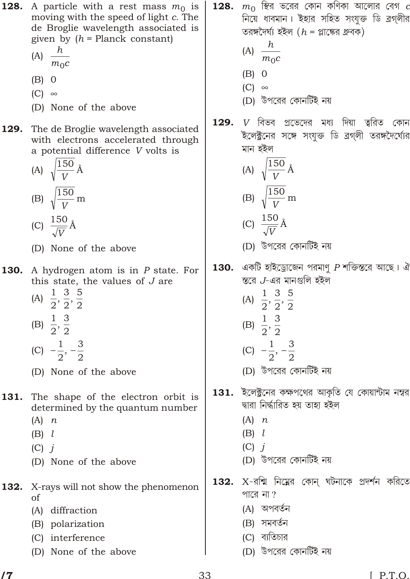- **128.** A particle with a rest mass  $m_0$  is moving with the speed of light c. The de Broglie wavelength associated is given by  $(h =$  Planck constant)
	- h (A)  $\frac{\mu}{m_0c}$
	- $(B) 0$
	- $(C)$
	- (D) None of the above
- 129. The de Broglie wavelength associated with electrons accelerated through a potential difference V volts is

(A) 
$$
\sqrt{\frac{150}{V}} \text{\AA}
$$
  
\n(B)  $\sqrt{\frac{150}{V}} \text{ m}$   
\n(C)  $\frac{150}{\sqrt{V}} \text{\AA}$ 

- (D) None of the above
- 130. A hydrogen atom is in P state. For this state, the values of J are
	- (A)  $\frac{1}{2}, \frac{3}{2}, \frac{5}{2}$ (B)  $\frac{1}{2}$ ,  $\frac{3}{2}$
	-
	- (C)  $\frac{1}{2}$ ,  $\frac{3}{2}$
	- (D) None of the above
- The shape of the electron orbit is 131. determined by the quantum number
	- $(A)$  n
	- $(B)$  l
	- $(C)$  *i*
	- (D) None of the above
- 132. X-rays will not show the phenomenon of
	- (A) diffraction
	- (B) polarization
	- (C) interference
	- (D) None of the above
- $m_{\rm 0}$  ছির ভরের কোন কণিকা আলোর বেগ  $c$ 128. নিয়ে ধাবমান। ইহার সহিত সংযুক্ত ডি ব্রগ্লীর তরঙ্গদৈর্ঘ্য হইল  $(h = \text{?A})$ 
	- (A)  $\frac{h}{m_0c}$
	- $(B) 0$
	- $(C)$
	- (D) উপরের কোনর্টিই নয়
- $V$  বিভব প্রভেদের মধ্য দিয়া ত্বরিত কোন 129. ইলেক্ট্রনের সঙ্গে সংযুক্ত ডি ব্রগ্লী তরঙ্গদৈর্ঘ্যের মান হইল

(A) 
$$
\sqrt{\frac{150}{V}} \text{\AA}
$$
  
\n(B)  $\sqrt{\frac{150}{V}} \text{ m}$   
\n(C)  $\frac{150}{P} \text{\AA}$ 

$$
\frac{\sqrt{V}}{\sqrt{V}}
$$
 (D)  $\frac{1}{\sqrt{V}}$ পরের কোনটিই নয়

- একটি হাইড্রোজেন পরমাণু  $P$  শক্তিস্তরে আছে। ঐ 130. স্তরে  $J$ -এর মানগুলি হইল
	- (A)  $\frac{1}{2}, \frac{3}{2}, \frac{5}{2}$ 
		-
	- (B)  $\frac{1}{2}$ ,  $\frac{3}{2}$
	- (C)  $\frac{1}{2}$ ,  $\frac{3}{2}$ 
		-
	- (D) উপরের কোনর্টিই নয়
- $\,$  131. ইলেক্ট্রনের কক্ষপথের আকৃতি যে কোয়ান্টাম নম্বর দ্বারা নির্দ্ধারিত হয় তাহা হইল
	- $(A)$  n
	- $(B)$  l
	- $(C)$  i
	- (D) উপরের কোনর্টিই নয়

X-রশ্মি নিম্নের কোন্ ঘটনাকে প্রদর্শন করিতে 132. পারে না?

- (A) অপবর্তন
- (B) সমবর্তন
- (C) ব্যতিচার
- (D) উপরের কোনর্টিই নয়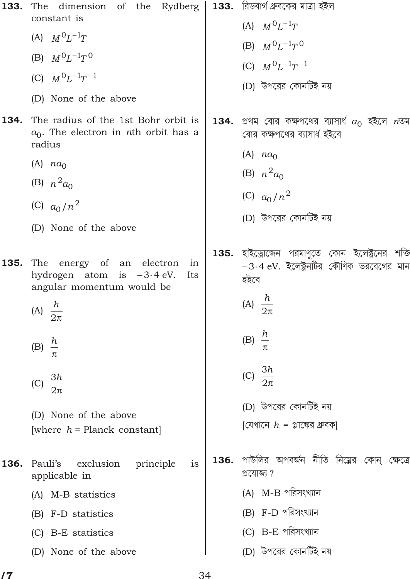| 133. | The dimension of the Rydberg   133. রিডবার্গ ধ্রুবকের মাত্রা হইল<br>constant is                                                                 |      |                                                                                                                                            |
|------|-------------------------------------------------------------------------------------------------------------------------------------------------|------|--------------------------------------------------------------------------------------------------------------------------------------------|
|      | (A) $M^{0}L^{1}T$                                                                                                                               |      | (A) $M^{0}L^{1}T$                                                                                                                          |
|      | (B) $M^{0}L^{1}T^{0}$                                                                                                                           |      | (B) $M^{0}L^{1}T^{0}$                                                                                                                      |
|      | (C) $M^{0}L^{1}T^{1}$                                                                                                                           |      | (C) $M^{0}L^{1}T^{1}$                                                                                                                      |
|      | (D) None of the above                                                                                                                           |      | (D) উপরের কোনর্টিই নয়                                                                                                                     |
| 134. | The radius of the 1st Bohr orbit is<br>$a_0$ . The electron in nth orbit has a<br>radius                                                        |      | $\bf 134.$ প্রথম বোর কক্ষপথের ব্যাসার্ধ $a_0$ হইলে $n$ তম<br>বোর কক্ষপথের ব্যাসার্ধ হইবে<br>(A) $na_0$                                     |
|      | (A) $na_0$                                                                                                                                      |      | (B) $n^2 a_0$                                                                                                                              |
|      | (B) $n^2 a_0$                                                                                                                                   |      |                                                                                                                                            |
|      | (C) $a_0/n^2$                                                                                                                                   |      | (C) $a_0/n^2$                                                                                                                              |
|      | (D) None of the above                                                                                                                           |      | (D) উপরের কোনর্টিই নয়                                                                                                                     |
| 135. | The<br>energy of an electron<br>in<br>hydrogen atom is<br>3 4 eV.<br>Its<br>angular momentum would be<br>(A) $\frac{h}{2}$<br>(B) $\frac{h}{h}$ |      | 135. হাইড্রোজেন পরমাণুতে কোন ইলেক্ট্রনের শক্তি<br>3 4 eV. ইলেক্ট্রনটির কৌণিক ভরবেগের মান<br>হইবে<br>(A) $\frac{h}{2}$<br>(B) $\frac{h}{h}$ |
|      | 3h<br>(C) $\frac{3\pi}{2}$<br>(D) None of the above<br>[where $h =$ Planck constant]                                                            |      | (C) $\frac{3h}{2}$<br>(D) উপরের কোনর্টিই নয়<br>[যেখানে $h$ = প্লাক্ষের ধ্রুবক]                                                            |
| 136. | exclusion<br>Pauli's<br>principle<br>is<br>applicable in<br>(A) M-B statistics<br>(B) F-D statistics<br>(C) B-E statistics                      | 136. | পাউলির অপবর্জন নীতি নিম্নের কোন্ ক্ষেত্রে<br>প্ৰযোজ্য ?<br>(A) M-B পরিসংখ্যান<br>(B) F-D পরিসংখ্যান<br>(C) B-E পরিসংখ্যান                  |
|      | (D) None of the above                                                                                                                           |      | (D) উপরের কোনর্টিই নয়                                                                                                                     |
|      |                                                                                                                                                 |      |                                                                                                                                            |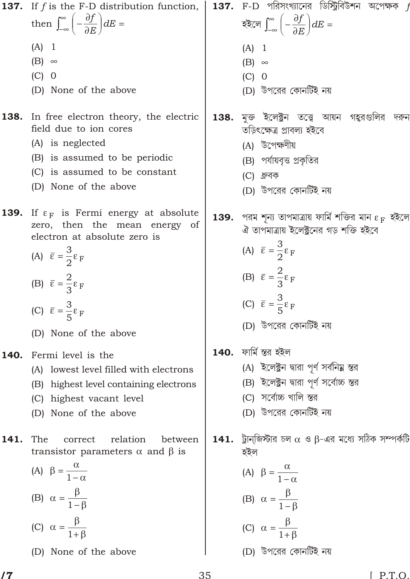$137.$  F-D পরিসংখ্যানের ডিস্ট্রিবিউশন অপেক্ষক  $f$ **137.** If  $f$  is the F-D distribution function,  $\frac{f}{F}$  dE  $\frac{f}{\sqrt{D}}$  dE then হইলে  $(A)$  1  $(A)$  1  $(B)$  $(B)$  $(C)$  0  $(C)$  0 (D) উপরের কোনর্টিই নয় (D) None of the above 138. মক্ত ইলেক্ট্রন তত্ত্বে আয়ন গহুরগুলির দর<mark>্</mark>নন In free electron theory, the electric 138. field due to ion cores তড়িৎক্ষেত্র প্রাবল্য হইবে (A) is neglected (A) উপেক্ষণীয় (B) is assumed to be periodic (B) পর্যায়বৃত্ত প্রকৃতির (C) is assumed to be constant (C) ধ্রুবক (D) None of the above (D) উপরের কোনর্টিই নয় 139. If  $_F$  is Fermi energy at absolute  $\bf{139.}$  পরম শূন্য তাপমাত্রায় ফার্মি শক্তির মান $_{\rm F}$  হইলে zero, then the mean energy of ঐ তাপমাত্রায় ইলেক্ট্রনের গড় শক্তি হইবে electron at absolute zero is (A)  $-\frac{3}{2}$  F (A)  $-\frac{3}{2}$  F (B)  $-\frac{2}{3}$  F (B)  $-\frac{2}{3}$  F (C)  $-\frac{3}{5}$  F (C)  $-\frac{3}{5}$  F (D) উপরের কোনর্টিই নয় (D) None of the above **140.** ফার্মি স্তর হইল 140. Fermi level is the (A) ইলেক্ট্রন দ্বারা পর্ণ সর্বনিয়ু স্তর (A) lowest level filled with electrons (B) ইলেক্ট্রন দ্বারা পূর্ণ সর্বোচ্চ স্তর (B) highest level containing electrons (C) সৰ্বোচ্চ খালি স্তর (C) highest vacant level (D) উপরের কোনর্টিই নয় (D) None of the above 141. ট্রান্জিস্টার চল ও -এর মধ্যে সঠিক সম্পর্কটি 141. The correct relation between transistor parameters and is হইল  $(A)$  $(A)$  $\overline{1}$  $\mathbf{1}$  $(B)$  $(B)$  $\overline{1}$  $\mathbf{1}$  $(C)$  $(C)$ (D) উপরের কোনর্টিই নয় (D) None of the above

 $\sqrt{7}$ 

 $[ P.T.O.$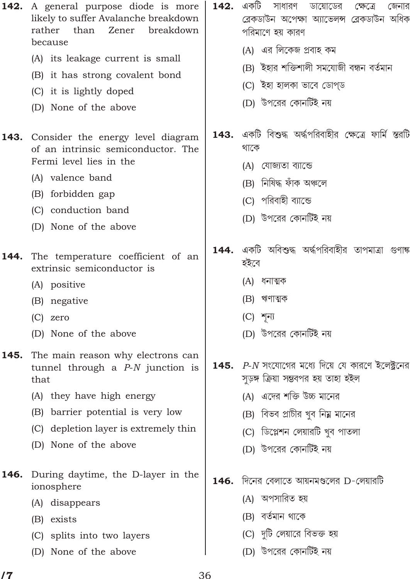| 142. | A general purpose diode is more<br>likely to suffer Avalanche breakdown<br>than<br>Zener<br>breakdown<br>rather<br>because | 142. | একটি<br>সাধারণ<br>ডায়োডের<br>ক্ষেত্রে<br>জেনার<br>ব্ৰেকডাউন অপেক্ষা অ্যাভেলন্স ব্ৰেকডাউন অধিক<br>পরিমাণে হয় কারণ |
|------|----------------------------------------------------------------------------------------------------------------------------|------|--------------------------------------------------------------------------------------------------------------------|
|      | (A) its leakage current is small                                                                                           |      | (A) এর লিকেজ প্রবাহ কম                                                                                             |
|      | (B) it has strong covalent bond                                                                                            |      | (B) ইহার শক্তিশালী সমযোজী বন্ধন বর্তমান                                                                            |
|      | (C) it is lightly doped                                                                                                    |      | (C) ইহা হালকা ভাবে ডোপ্ড                                                                                           |
|      | (D) None of the above                                                                                                      |      | (D) উপরের কোনর্টিই নয়                                                                                             |
| 143. | Consider the energy level diagram<br>of an intrinsic semiconductor. The<br>Fermi level lies in the                         |      | <b>143.</b> একটি বিশুদ্ধ অৰ্দ্ধপরিবাহীর ক্ষেত্রে ফার্মি স্তরটি<br>থাকে<br>যোজ্যতা ব্যান্ডে<br>(A)                  |
|      | (A) valence band                                                                                                           |      | (B) নিষিদ্ধ ফাঁক অঞ্চলে                                                                                            |
|      | (B) forbidden gap                                                                                                          |      |                                                                                                                    |
|      | (C) conduction band                                                                                                        |      | (C) পরিবাহী ব্যান্ডে                                                                                               |
|      | (D) None of the above                                                                                                      |      | (D) উপরের কোনর্টিই নয়                                                                                             |
| 144. | The temperature coefficient of an<br>extrinsic semiconductor is                                                            | 144. | একটি অবিশুদ্ধ অৰ্দ্ধপরিবাহীর তাপমাত্রা গুণাঙ্গ<br>হইবে                                                             |
|      | (A) positive                                                                                                               |      | (A) ধনাত্মক                                                                                                        |
|      | (B) negative                                                                                                               |      | ঋণাত্মক<br>(B)                                                                                                     |
|      | $(C)$ zero                                                                                                                 |      | $(C)$ শূন্য                                                                                                        |
|      | (D) None of the above                                                                                                      |      | (D) উপরের কোনর্টিই নয়                                                                                             |
| 145. | The main reason why electrons can<br>tunnel through a $P-N$ junction is<br>that                                            | 145. | $\,P\text{-}N$ সংযোগের মধ্যে দিয়ে যে কারণে ইলেক্ট্রনের<br>সুড়ঙ্গ ক্রিয়া সম্ভবপর হয় তাহা হইল                    |
|      | (A) they have high energy                                                                                                  |      | (A) এদের শক্তি উচ্চ মানের                                                                                          |
|      | barrier potential is very low<br>(B)                                                                                       |      | (B) বিভব প্রাচীর খুব নিম্ন মানের                                                                                   |
|      | depletion layer is extremely thin<br>(C)                                                                                   |      | (C) ডিপ্লেশন লেয়ারটি খুব পাতলা                                                                                    |
|      | None of the above<br>(D)                                                                                                   |      | (D) উপরের কোনর্টিই নয়                                                                                             |
| 146. | During daytime, the D-layer in the<br>ionosphere                                                                           | 146. | দিনের বেলাতে আয়নমণ্ডলের D-লেয়ারটি                                                                                |
|      | (A) disappears                                                                                                             |      | (A) অপসারিত হয়                                                                                                    |
|      | exists<br>(B)                                                                                                              |      | (B) বৰ্তমান থাকে                                                                                                   |
|      | (C) splits into two layers                                                                                                 |      | (C) দুটি লেয়ারে বিভক্ত হয়                                                                                        |
|      | None of the above<br>(D)                                                                                                   |      | (D) উপরের কোনর্টিই নয়                                                                                             |

 $17$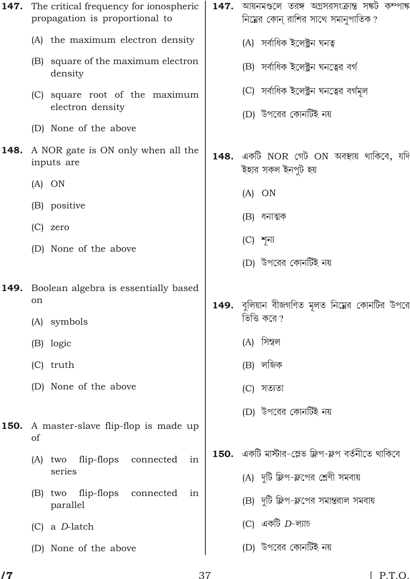|      | <b>147.</b> The critical frequency for ionospheric<br>propagation is proportional to | 147. | আয়নমণ্ডলে তরঙ্গ অগ্রসরসংক্রান্ত সঙ্কট কম্পাঙ্ক<br>নিম্নের কোন্ রাশির সাথে সমানুপাতিক? |
|------|--------------------------------------------------------------------------------------|------|----------------------------------------------------------------------------------------|
|      | (A) the maximum electron density                                                     |      | (A) সৰ্বাধিক ইলেক্ট্ৰন ঘনত্ব                                                           |
|      | (B) square of the maximum electron<br>density                                        |      | (B) সর্বাধিক ইলেক্ট্রন ঘনত্বের বর্গ                                                    |
|      | (C) square root of the maximum<br>electron density                                   |      | (C) সর্বাধিক ইলেক্ট্রন ঘনত্বের বর্গমূল<br>(D) উপরের কোনটিই নয়                         |
|      | (D) None of the above                                                                |      |                                                                                        |
| 148. | A NOR gate is ON only when all the<br>inputs are                                     |      | 148. একটি NOR গেট ON অবস্থায় থাকিবে, যদি<br>ইহার সকল ইনপুট হয়                        |
|      | $(A)$ ON                                                                             |      | $(A)$ ON                                                                               |
|      | (B) positive                                                                         |      |                                                                                        |
|      | $(C)$ zero                                                                           |      | (B) ধনাত্মক                                                                            |
|      | (D) None of the above                                                                |      | $(C)$ শূন্য                                                                            |
|      |                                                                                      |      | (D) উপরের কোনটিই নয়                                                                   |
| 149. | Boolean algebra is essentially based                                                 |      |                                                                                        |
|      | on<br>(A) symbols                                                                    |      | <b>149.</b> বুলিয়ান বীজগণিত মূলত নিম্নের কোনটির উপরে<br>ভিত্তি করে ?                  |
|      | (B) logic                                                                            |      | (A) সিম্বল                                                                             |
|      | $(C)$ truth                                                                          |      | (B) লজিক                                                                               |
|      | (D) None of the above                                                                |      | (C) সত্যতা                                                                             |
|      |                                                                                      |      | (D) উপরের কোনর্টিই নয়                                                                 |
| 150. | A master-slave flip-flop is made up<br>of                                            |      |                                                                                        |
|      | flip-flops<br>connected<br>(A)<br>two<br>in                                          |      | 150. একটি মাস্টার-স্লেভ ফ্লিপ-ফ্লপ বর্তনীতে থাকিবে                                     |
|      | series                                                                               |      | (A) দুটি ফ্লিপ-ফ্লপের শ্রেণী সমবায়                                                    |
|      | flip-flops<br>connected<br>$(B)$ two<br>in<br>parallel                               |      | (B) দুটি ফ্লিপ-ফ্লপের সমান্তরাল সমবায়                                                 |
|      | a D-latch<br>(C)                                                                     |      | (C) একটি $D$ -ল্যাচ                                                                    |
|      | (D) None of the above                                                                |      | (D) উপরের কোনর্টিই নয়                                                                 |
|      |                                                                                      |      |                                                                                        |

37

 $17$ 

 $[ P.T.O.$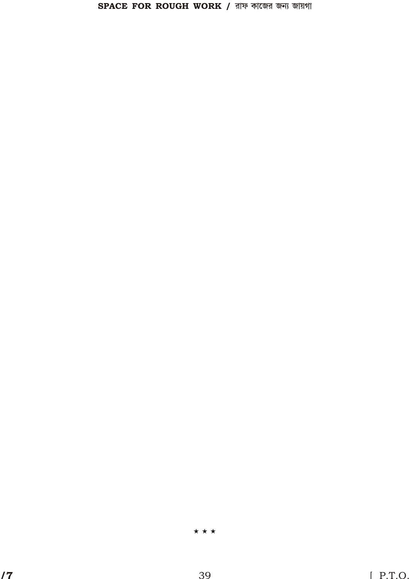$\star \star \star$